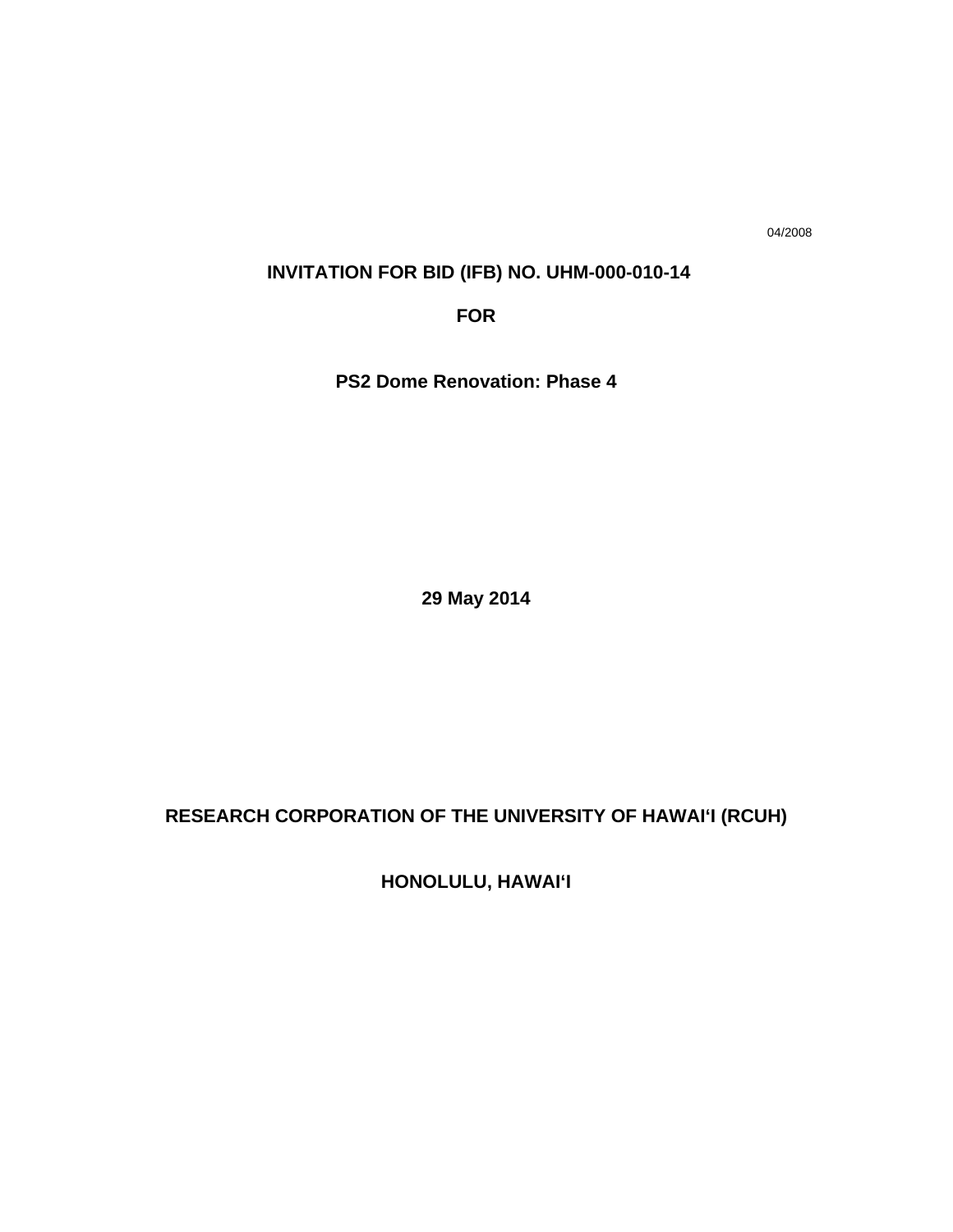04/2008

## **INVITATION FOR BID (IFB) NO. UHM-000-010-14**

**FOR** 

**PS2 Dome Renovation: Phase 4** 

**29 May 2014** 

# **RESEARCH CORPORATION OF THE UNIVERSITY OF HAWAI'I (RCUH)**

**HONOLULU, HAWAI'I**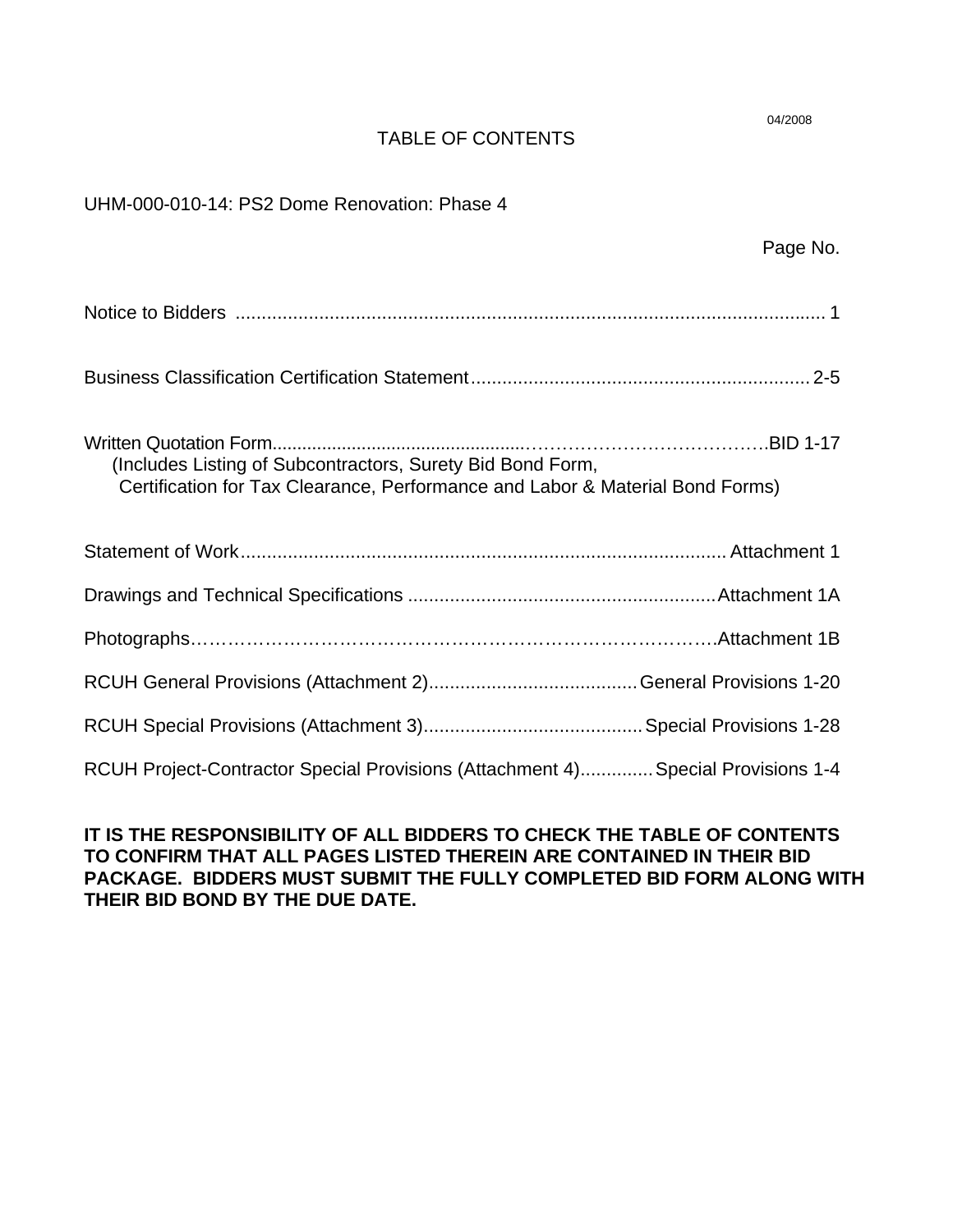## TABLE OF CONTENTS

| UHM-000-010-14: PS2 Dome Renovation: Phase 4                                                                                                |          |
|---------------------------------------------------------------------------------------------------------------------------------------------|----------|
|                                                                                                                                             | Page No. |
|                                                                                                                                             |          |
|                                                                                                                                             |          |
| (Includes Listing of Subcontractors, Surety Bid Bond Form,<br>Certification for Tax Clearance, Performance and Labor & Material Bond Forms) |          |
|                                                                                                                                             |          |
|                                                                                                                                             |          |
|                                                                                                                                             |          |
|                                                                                                                                             |          |
|                                                                                                                                             |          |
| RCUH Project-Contractor Special Provisions (Attachment 4) Special Provisions 1-4                                                            |          |

## **IT IS THE RESPONSIBILITY OF ALL BIDDERS TO CHECK THE TABLE OF CONTENTS TO CONFIRM THAT ALL PAGES LISTED THEREIN ARE CONTAINED IN THEIR BID PACKAGE. BIDDERS MUST SUBMIT THE FULLY COMPLETED BID FORM ALONG WITH THEIR BID BOND BY THE DUE DATE.**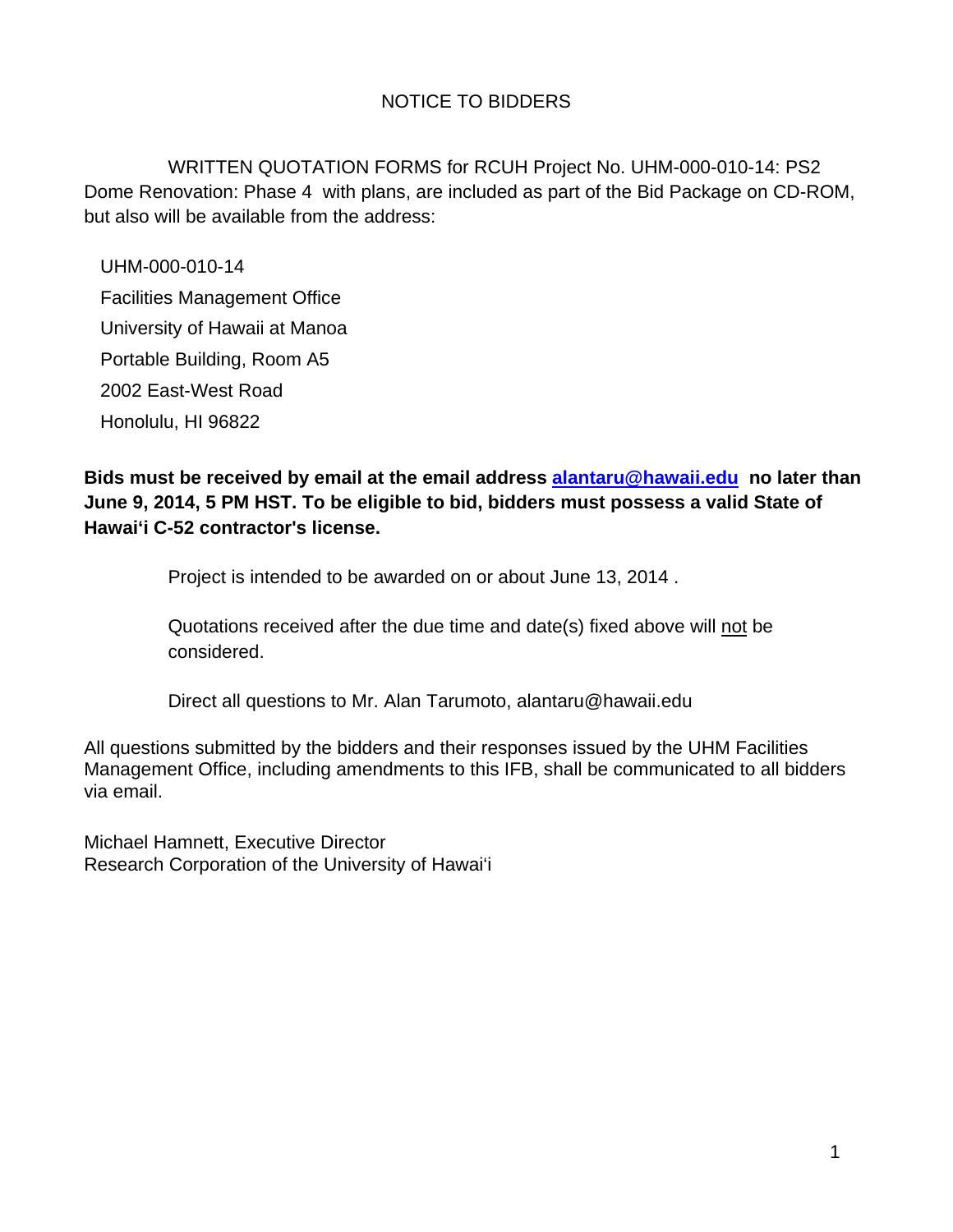## NOTICE TO BIDDERS

 WRITTEN QUOTATION FORMS for RCUH Project No. UHM-000-010-14: PS2 Dome Renovation: Phase 4 with plans, are included as part of the Bid Package on CD-ROM, but also will be available from the address:

UHM-000-010-14 Facilities Management Office University of Hawaii at Manoa Portable Building, Room A5 2002 East-West Road Honolulu, HI 96822

**Bids must be received by email at the email address alantaru@hawaii.edu no later than June 9, 2014, 5 PM HST. To be eligible to bid, bidders must possess a valid State of Hawai'i C-52 contractor's license.** 

Project is intended to be awarded on or about June 13, 2014 .

Quotations received after the due time and date(s) fixed above will not be considered.

Direct all questions to Mr. Alan Tarumoto, alantaru@hawaii.edu

All questions submitted by the bidders and their responses issued by the UHM Facilities Management Office, including amendments to this IFB, shall be communicated to all bidders via email.

Michael Hamnett, Executive Director Research Corporation of the University of Hawai'i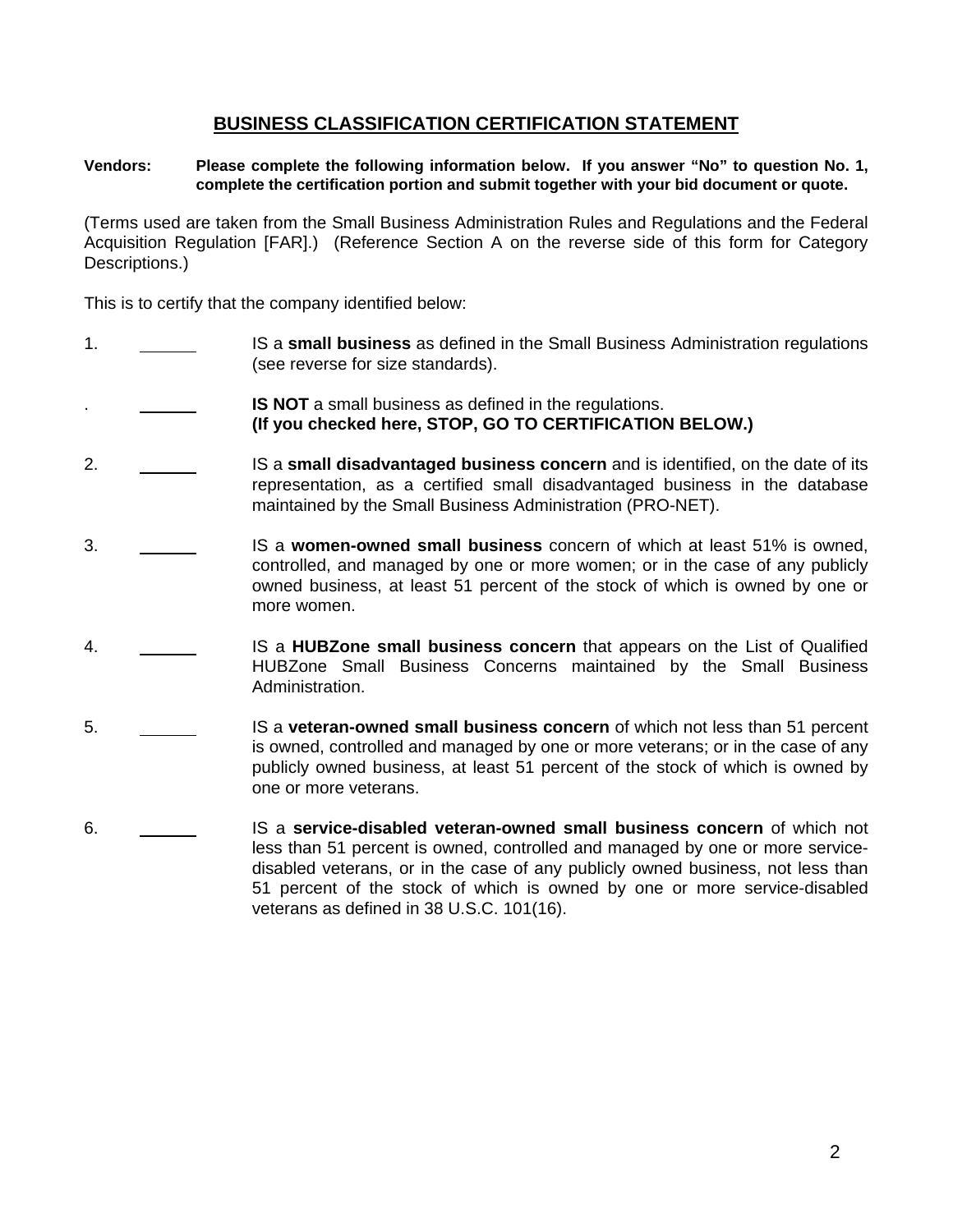### **BUSINESS CLASSIFICATION CERTIFICATION STATEMENT**

### **Vendors: Please complete the following information below. If you answer "No" to question No. 1, complete the certification portion and submit together with your bid document or quote.**

(Terms used are taken from the Small Business Administration Rules and Regulations and the Federal Acquisition Regulation [FAR].) (Reference Section A on the reverse side of this form for Category Descriptions.)

This is to certify that the company identified below:

- 1. IS a **small business** as defined in the Small Business Administration regulations (see reverse for size standards).
- **IS NOT** a small business as defined in the regulations. **(If you checked here, STOP, GO TO CERTIFICATION BELOW.)**
- 2. IS a **small disadvantaged business concern** and is identified, on the date of its representation, as a certified small disadvantaged business in the database maintained by the Small Business Administration (PRO-NET).
- 3. IS a **women-owned small business** concern of which at least 51% is owned, controlled, and managed by one or more women; or in the case of any publicly owned business, at least 51 percent of the stock of which is owned by one or more women.
- 4. IS a **HUBZone small business concern** that appears on the List of Qualified HUBZone Small Business Concerns maintained by the Small Business Administration.
- 5. IS a **veteran-owned small business concern** of which not less than 51 percent is owned, controlled and managed by one or more veterans; or in the case of any publicly owned business, at least 51 percent of the stock of which is owned by one or more veterans.
- 6. IS a **service-disabled veteran-owned small business concern** of which not less than 51 percent is owned, controlled and managed by one or more servicedisabled veterans, or in the case of any publicly owned business, not less than 51 percent of the stock of which is owned by one or more service-disabled veterans as defined in 38 U.S.C. 101(16).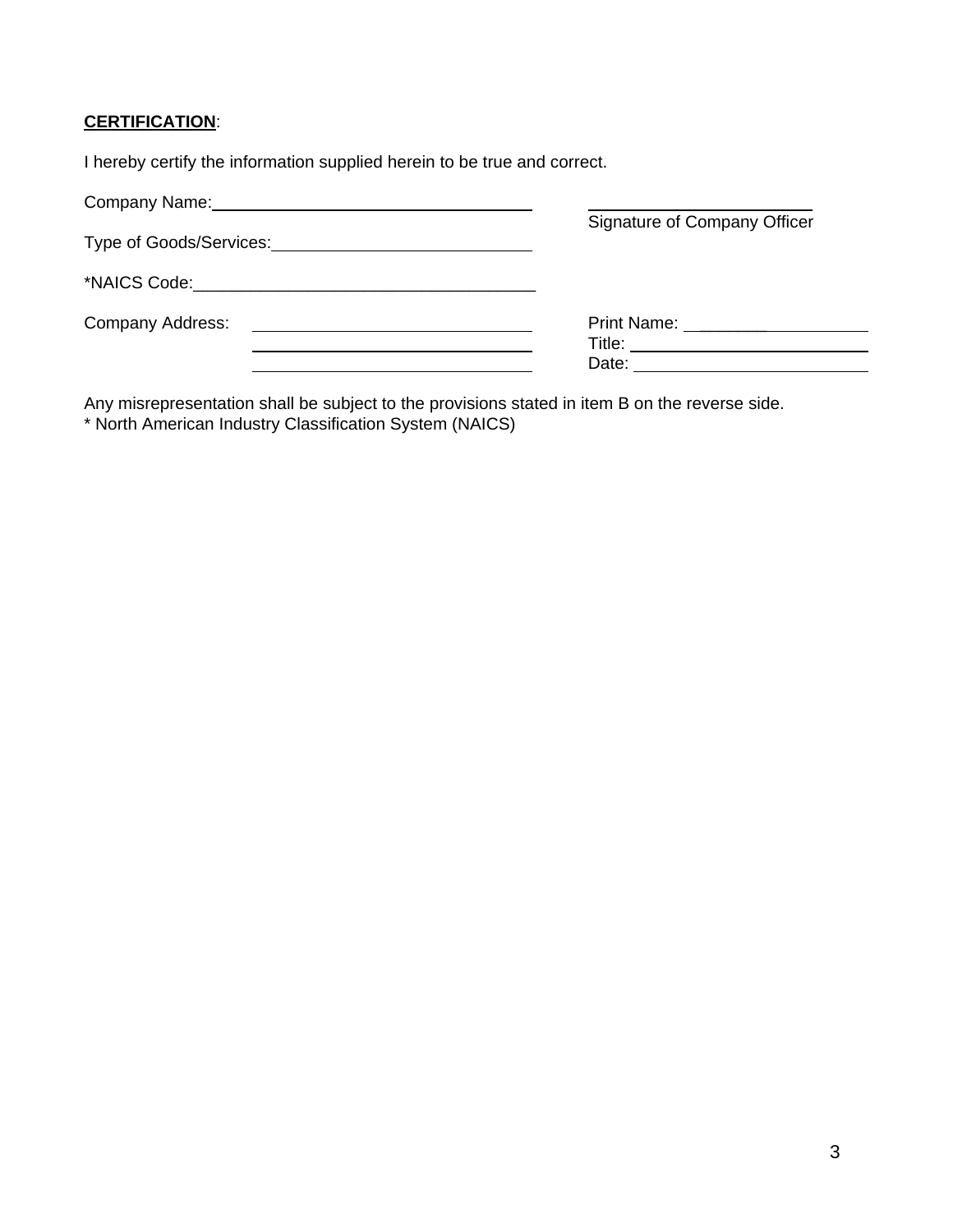### **CERTIFICATION**:

I hereby certify the information supplied herein to be true and correct.

| Company Name: Mannell Company Name:                              |                                                                                                                                                                                                                                                                     |
|------------------------------------------------------------------|---------------------------------------------------------------------------------------------------------------------------------------------------------------------------------------------------------------------------------------------------------------------|
|                                                                  | Signature of Company Officer                                                                                                                                                                                                                                        |
|                                                                  |                                                                                                                                                                                                                                                                     |
| Company Address:<br><u> 1980 - Jan Samuel Barbara, martin di</u> | <b>Print Name:</b> Name:<br>Title: The Contract of the Contract of the Contract of the Contract of the Contract of the Contract of the Contract of the Contract of the Contract of the Contract of the Contract of the Contract of the Contract of the Con<br>Date: |

Any misrepresentation shall be subject to the provisions stated in item B on the reverse side.

\* North American Industry Classification System (NAICS)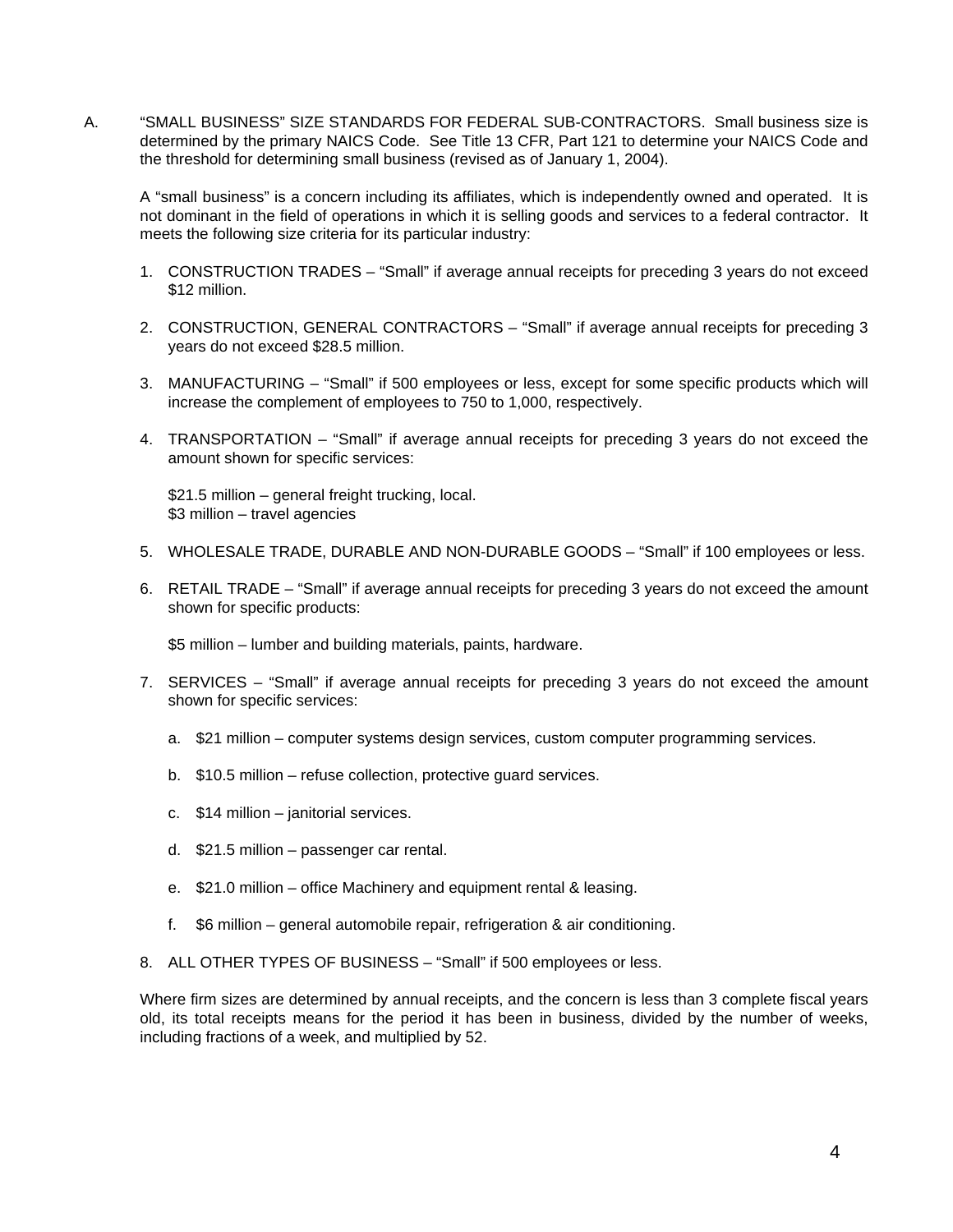A. "SMALL BUSINESS" SIZE STANDARDS FOR FEDERAL SUB-CONTRACTORS. Small business size is determined by the primary NAICS Code. See Title 13 CFR, Part 121 to determine your NAICS Code and the threshold for determining small business (revised as of January 1, 2004).

A "small business" is a concern including its affiliates, which is independently owned and operated. It is not dominant in the field of operations in which it is selling goods and services to a federal contractor. It meets the following size criteria for its particular industry:

- 1. CONSTRUCTION TRADES "Small" if average annual receipts for preceding 3 years do not exceed \$12 million.
- 2. CONSTRUCTION, GENERAL CONTRACTORS "Small" if average annual receipts for preceding 3 years do not exceed \$28.5 million.
- 3. MANUFACTURING "Small" if 500 employees or less, except for some specific products which will increase the complement of employees to 750 to 1,000, respectively.
- 4. TRANSPORTATION "Small" if average annual receipts for preceding 3 years do not exceed the amount shown for specific services:

 \$21.5 million – general freight trucking, local. \$3 million – travel agencies

- 5. WHOLESALE TRADE, DURABLE AND NON-DURABLE GOODS "Small" if 100 employees or less.
- 6. RETAIL TRADE "Small" if average annual receipts for preceding 3 years do not exceed the amount shown for specific products:

\$5 million – lumber and building materials, paints, hardware.

- 7. SERVICES "Small" if average annual receipts for preceding 3 years do not exceed the amount shown for specific services:
	- a. \$21 million computer systems design services, custom computer programming services.
	- b. \$10.5 million refuse collection, protective guard services.
	- c. \$14 million janitorial services.
	- d. \$21.5 million passenger car rental.
	- e. \$21.0 million office Machinery and equipment rental & leasing.
	- f. \$6 million general automobile repair, refrigeration & air conditioning.
- 8. ALL OTHER TYPES OF BUSINESS "Small" if 500 employees or less.

Where firm sizes are determined by annual receipts, and the concern is less than 3 complete fiscal years old, its total receipts means for the period it has been in business, divided by the number of weeks, including fractions of a week, and multiplied by 52.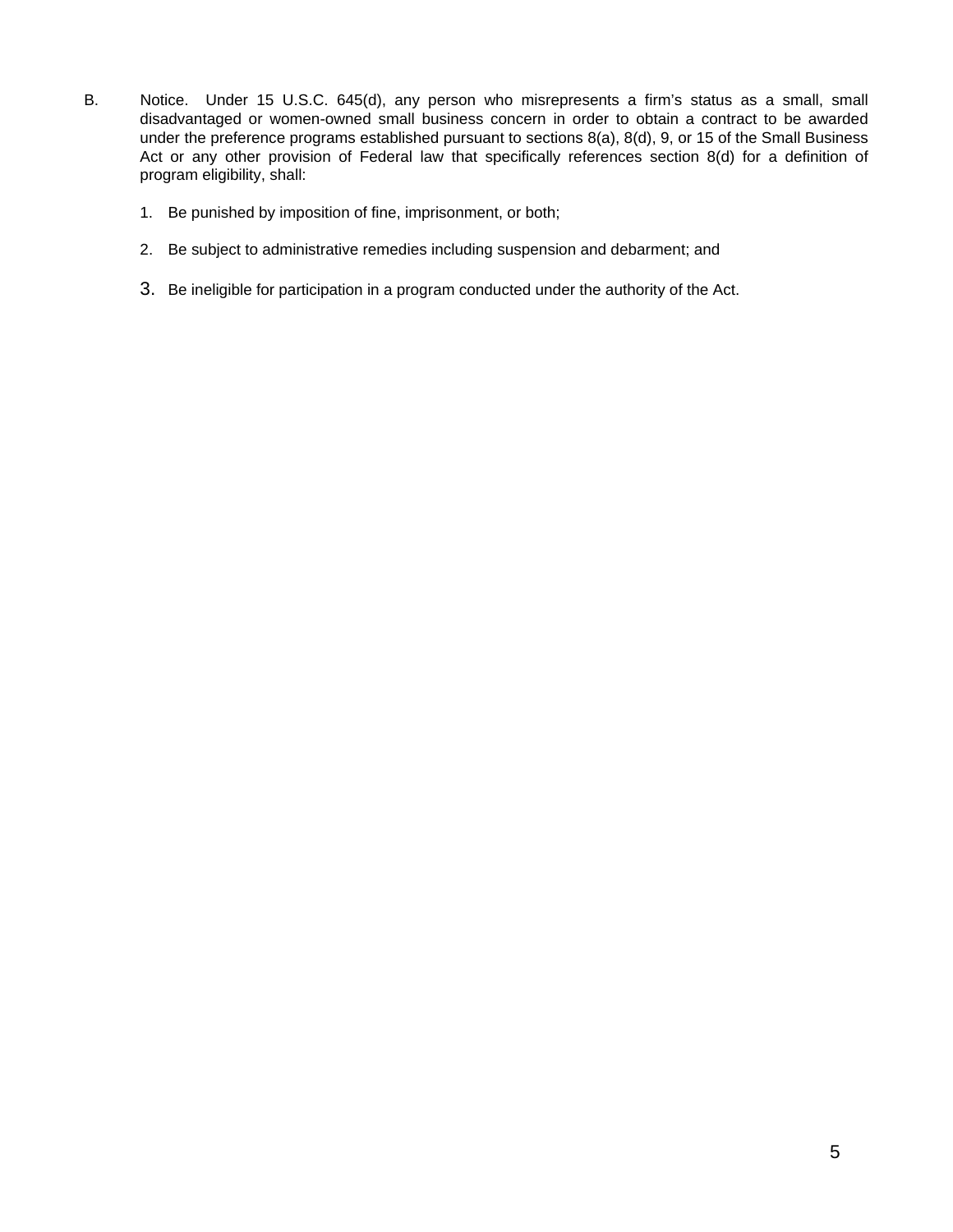- B. Notice. Under 15 U.S.C. 645(d), any person who misrepresents a firm's status as a small, small disadvantaged or women-owned small business concern in order to obtain a contract to be awarded under the preference programs established pursuant to sections 8(a), 8(d), 9, or 15 of the Small Business Act or any other provision of Federal law that specifically references section 8(d) for a definition of program eligibility, shall:
	- 1. Be punished by imposition of fine, imprisonment, or both;
	- 2. Be subject to administrative remedies including suspension and debarment; and
	- 3. Be ineligible for participation in a program conducted under the authority of the Act.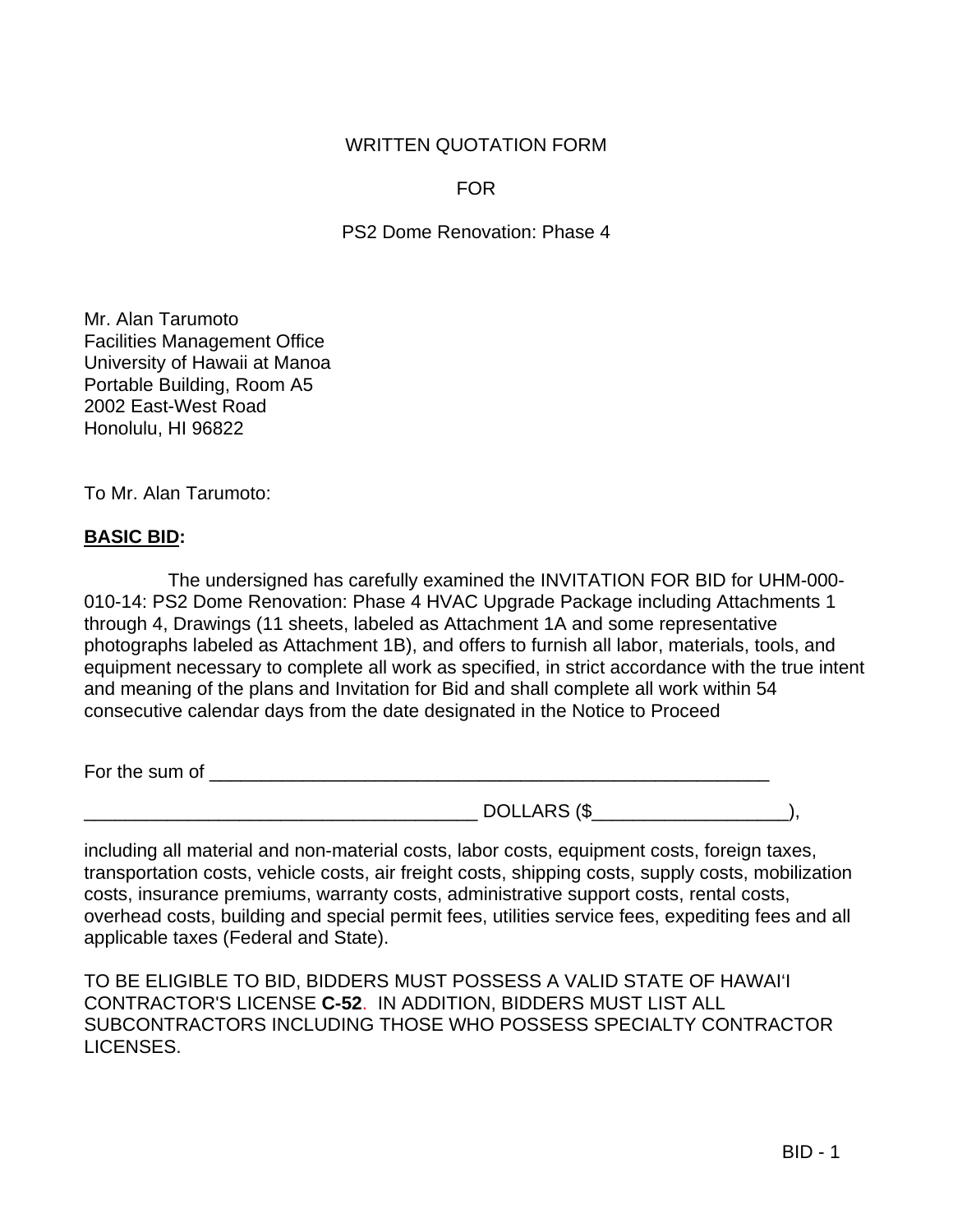### WRITTEN QUOTATION FORM

FOR

PS2 Dome Renovation: Phase 4

Mr. Alan Tarumoto Facilities Management Office University of Hawaii at Manoa Portable Building, Room A5 2002 East-West Road Honolulu, HI 96822

To Mr. Alan Tarumoto:

### **BASIC BID:**

 The undersigned has carefully examined the INVITATION FOR BID for UHM-000- 010-14: PS2 Dome Renovation: Phase 4 HVAC Upgrade Package including Attachments 1 through 4, Drawings (11 sheets, labeled as Attachment 1A and some representative photographs labeled as Attachment 1B), and offers to furnish all labor, materials, tools, and equipment necessary to complete all work as specified, in strict accordance with the true intent and meaning of the plans and Invitation for Bid and shall complete all work within 54 consecutive calendar days from the date designated in the Notice to Proceed

For the sum of \_\_\_\_\_\_\_\_\_\_\_\_\_\_\_\_\_\_\_\_\_\_\_\_\_\_\_\_\_\_\_\_\_\_\_\_\_\_\_\_\_\_\_\_\_\_\_\_\_\_\_\_\_\_

\_\_\_\_\_\_\_\_\_\_\_\_\_\_\_\_\_\_\_\_\_\_\_\_\_\_\_\_\_\_\_\_\_\_\_\_\_\_ DOLLARS (\$\_\_\_\_\_\_\_\_\_\_\_\_\_\_\_\_\_\_\_),

including all material and non-material costs, labor costs, equipment costs, foreign taxes, transportation costs, vehicle costs, air freight costs, shipping costs, supply costs, mobilization costs, insurance premiums, warranty costs, administrative support costs, rental costs, overhead costs, building and special permit fees, utilities service fees, expediting fees and all applicable taxes (Federal and State).

TO BE ELIGIBLE TO BID, BIDDERS MUST POSSESS A VALID STATE OF HAWAI'I CONTRACTOR'S LICENSE **C-52**. IN ADDITION, BIDDERS MUST LIST ALL SUBCONTRACTORS INCLUDING THOSE WHO POSSESS SPECIALTY CONTRACTOR LICENSES.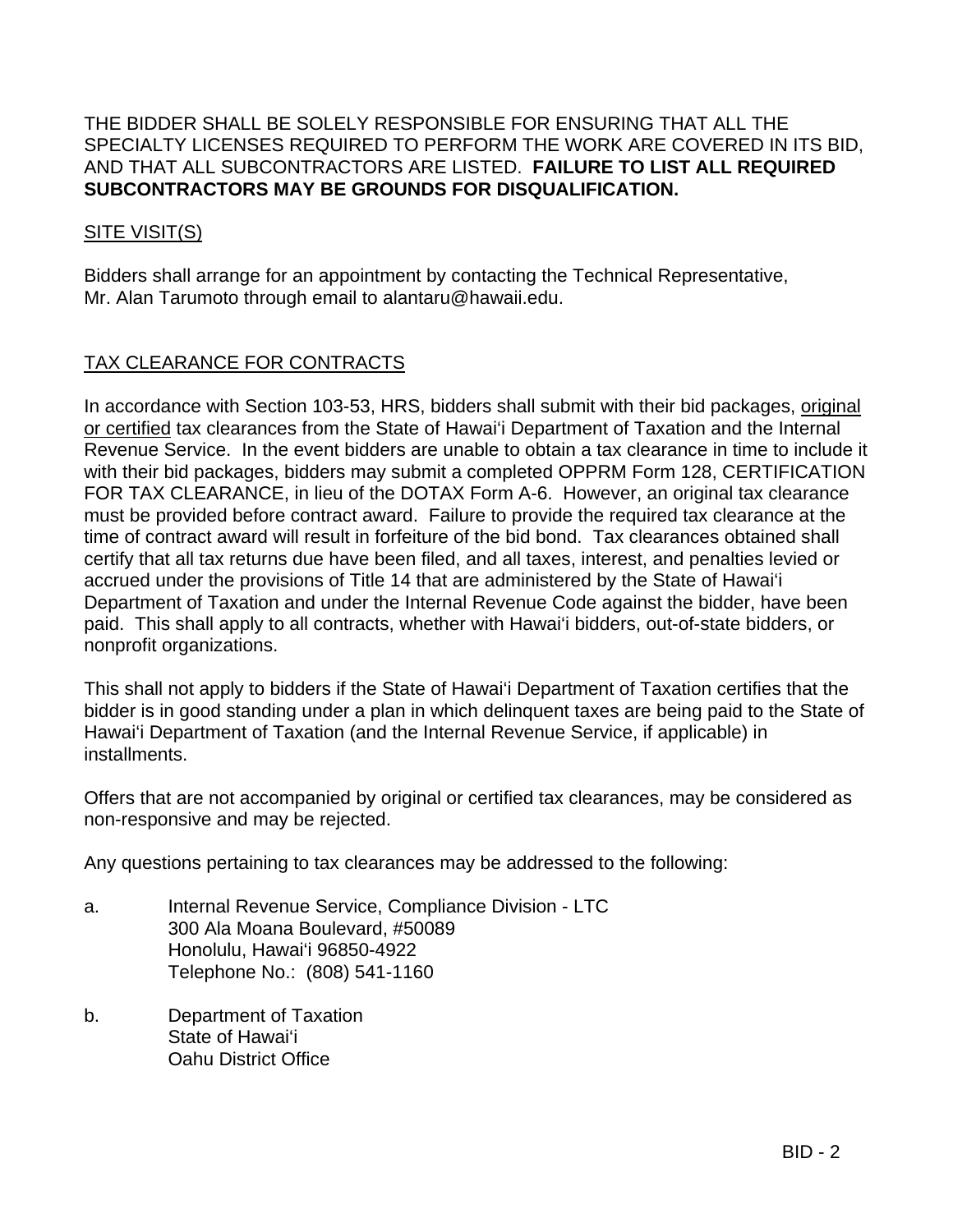### THE BIDDER SHALL BE SOLELY RESPONSIBLE FOR ENSURING THAT ALL THE SPECIALTY LICENSES REQUIRED TO PERFORM THE WORK ARE COVERED IN ITS BID, AND THAT ALL SUBCONTRACTORS ARE LISTED. **FAILURE TO LIST ALL REQUIRED SUBCONTRACTORS MAY BE GROUNDS FOR DISQUALIFICATION.**

### SITE VISIT(S)

Bidders shall arrange for an appointment by contacting the Technical Representative, Mr. Alan Tarumoto through email to alantaru@hawaii.edu.

### TAX CLEARANCE FOR CONTRACTS

In accordance with Section 103-53, HRS, bidders shall submit with their bid packages, original or certified tax clearances from the State of Hawai'i Department of Taxation and the Internal Revenue Service. In the event bidders are unable to obtain a tax clearance in time to include it with their bid packages, bidders may submit a completed OPPRM Form 128, CERTIFICATION FOR TAX CLEARANCE, in lieu of the DOTAX Form A-6. However, an original tax clearance must be provided before contract award. Failure to provide the required tax clearance at the time of contract award will result in forfeiture of the bid bond. Tax clearances obtained shall certify that all tax returns due have been filed, and all taxes, interest, and penalties levied or accrued under the provisions of Title 14 that are administered by the State of Hawai'i Department of Taxation and under the Internal Revenue Code against the bidder, have been paid. This shall apply to all contracts, whether with Hawai'i bidders, out-of-state bidders, or nonprofit organizations.

This shall not apply to bidders if the State of Hawai'i Department of Taxation certifies that the bidder is in good standing under a plan in which delinquent taxes are being paid to the State of Hawai'i Department of Taxation (and the Internal Revenue Service, if applicable) in installments.

Offers that are not accompanied by original or certified tax clearances, may be considered as non-responsive and may be rejected.

Any questions pertaining to tax clearances may be addressed to the following:

- a. Internal Revenue Service, Compliance Division LTC 300 Ala Moana Boulevard, #50089 Honolulu, Hawai'i 96850-4922 Telephone No.: (808) 541-1160
- b. Department of Taxation State of Hawai'i Oahu District Office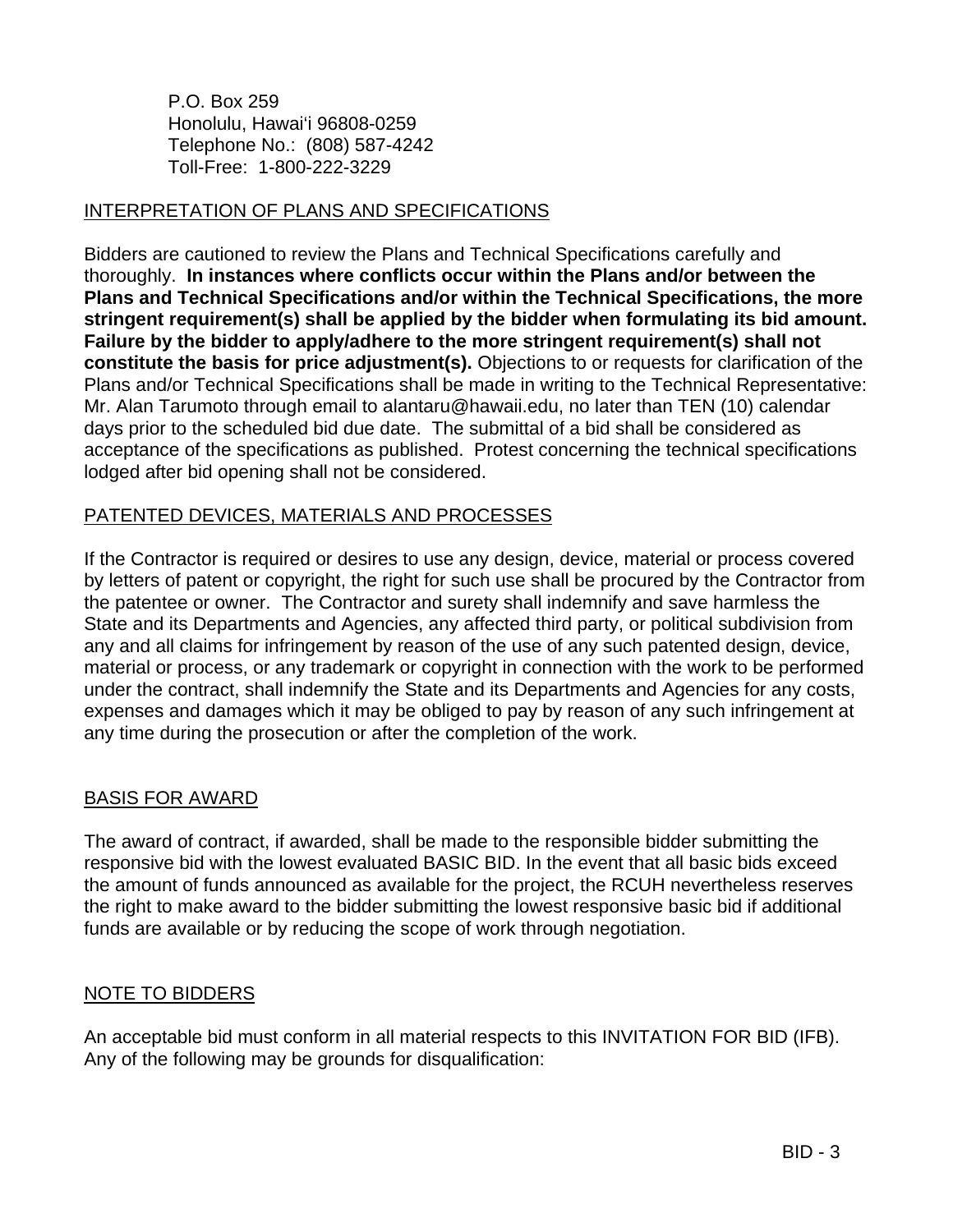P.O. Box 259 Honolulu, Hawai'i 96808-0259 Telephone No.: (808) 587-4242 Toll-Free: 1-800-222-3229

### INTERPRETATION OF PLANS AND SPECIFICATIONS

Bidders are cautioned to review the Plans and Technical Specifications carefully and thoroughly. **In instances where conflicts occur within the Plans and/or between the Plans and Technical Specifications and/or within the Technical Specifications, the more stringent requirement(s) shall be applied by the bidder when formulating its bid amount. Failure by the bidder to apply/adhere to the more stringent requirement(s) shall not constitute the basis for price adjustment(s).** Objections to or requests for clarification of the Plans and/or Technical Specifications shall be made in writing to the Technical Representative: Mr. Alan Tarumoto through email to alantaru@hawaii.edu, no later than TEN (10) calendar days prior to the scheduled bid due date. The submittal of a bid shall be considered as acceptance of the specifications as published. Protest concerning the technical specifications lodged after bid opening shall not be considered.

### PATENTED DEVICES, MATERIALS AND PROCESSES

If the Contractor is required or desires to use any design, device, material or process covered by letters of patent or copyright, the right for such use shall be procured by the Contractor from the patentee or owner. The Contractor and surety shall indemnify and save harmless the State and its Departments and Agencies, any affected third party, or political subdivision from any and all claims for infringement by reason of the use of any such patented design, device, material or process, or any trademark or copyright in connection with the work to be performed under the contract, shall indemnify the State and its Departments and Agencies for any costs, expenses and damages which it may be obliged to pay by reason of any such infringement at any time during the prosecution or after the completion of the work.

### BASIS FOR AWARD

The award of contract, if awarded, shall be made to the responsible bidder submitting the responsive bid with the lowest evaluated BASIC BID. In the event that all basic bids exceed the amount of funds announced as available for the project, the RCUH nevertheless reserves the right to make award to the bidder submitting the lowest responsive basic bid if additional funds are available or by reducing the scope of work through negotiation.

## NOTE TO BIDDERS

An acceptable bid must conform in all material respects to this INVITATION FOR BID (IFB). Any of the following may be grounds for disqualification: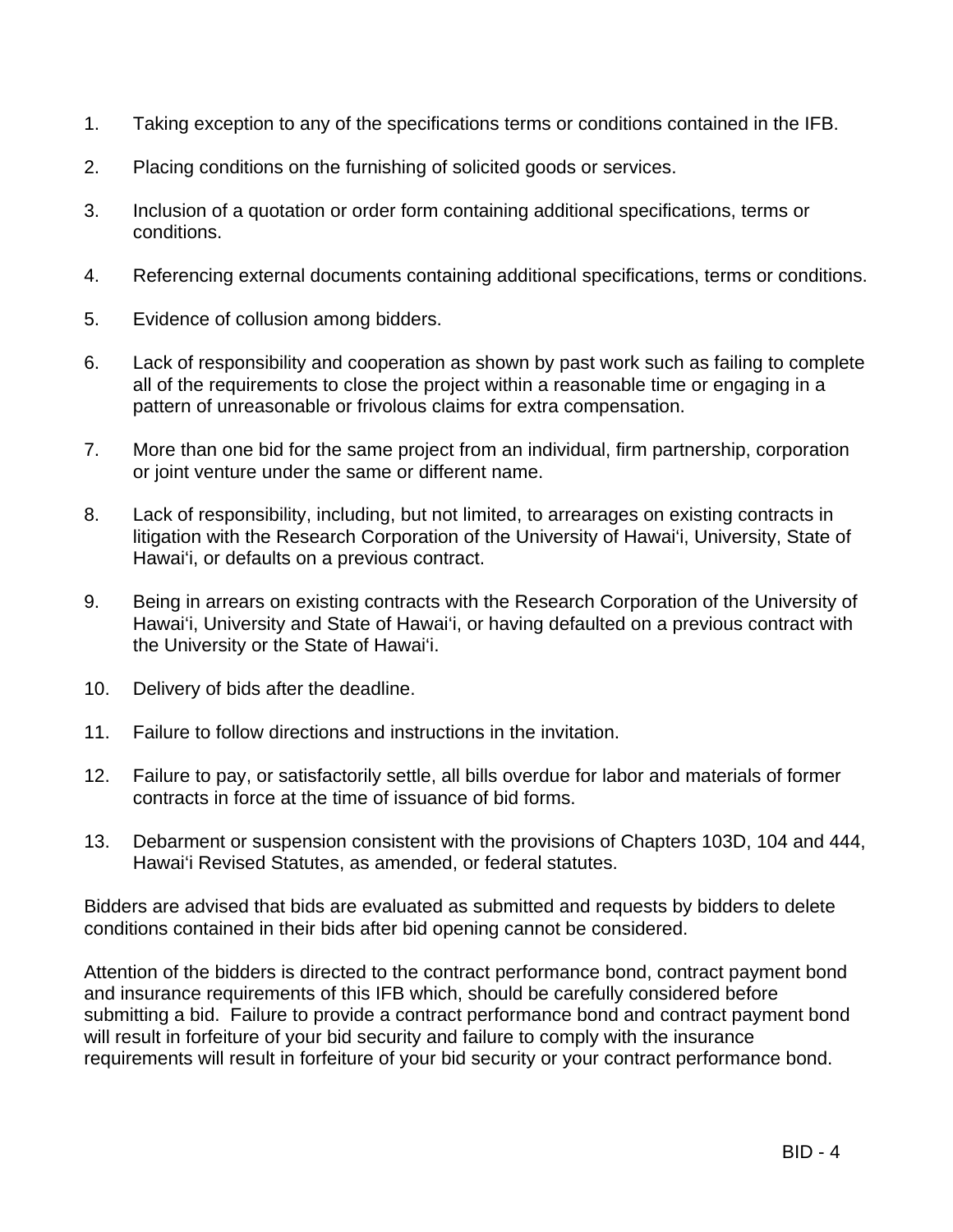- 1. Taking exception to any of the specifications terms or conditions contained in the IFB.
- 2. Placing conditions on the furnishing of solicited goods or services.
- 3. Inclusion of a quotation or order form containing additional specifications, terms or conditions.
- 4. Referencing external documents containing additional specifications, terms or conditions.
- 5. Evidence of collusion among bidders.
- 6. Lack of responsibility and cooperation as shown by past work such as failing to complete all of the requirements to close the project within a reasonable time or engaging in a pattern of unreasonable or frivolous claims for extra compensation.
- 7. More than one bid for the same project from an individual, firm partnership, corporation or joint venture under the same or different name.
- 8. Lack of responsibility, including, but not limited, to arrearages on existing contracts in litigation with the Research Corporation of the University of Hawai'i, University, State of Hawai'i, or defaults on a previous contract.
- 9. Being in arrears on existing contracts with the Research Corporation of the University of Hawai'i, University and State of Hawai'i, or having defaulted on a previous contract with the University or the State of Hawai'i.
- 10. Delivery of bids after the deadline.
- 11. Failure to follow directions and instructions in the invitation.
- 12. Failure to pay, or satisfactorily settle, all bills overdue for labor and materials of former contracts in force at the time of issuance of bid forms.
- 13. Debarment or suspension consistent with the provisions of Chapters 103D, 104 and 444, Hawai'i Revised Statutes, as amended, or federal statutes.

Bidders are advised that bids are evaluated as submitted and requests by bidders to delete conditions contained in their bids after bid opening cannot be considered.

Attention of the bidders is directed to the contract performance bond, contract payment bond and insurance requirements of this IFB which, should be carefully considered before submitting a bid. Failure to provide a contract performance bond and contract payment bond will result in forfeiture of your bid security and failure to comply with the insurance requirements will result in forfeiture of your bid security or your contract performance bond.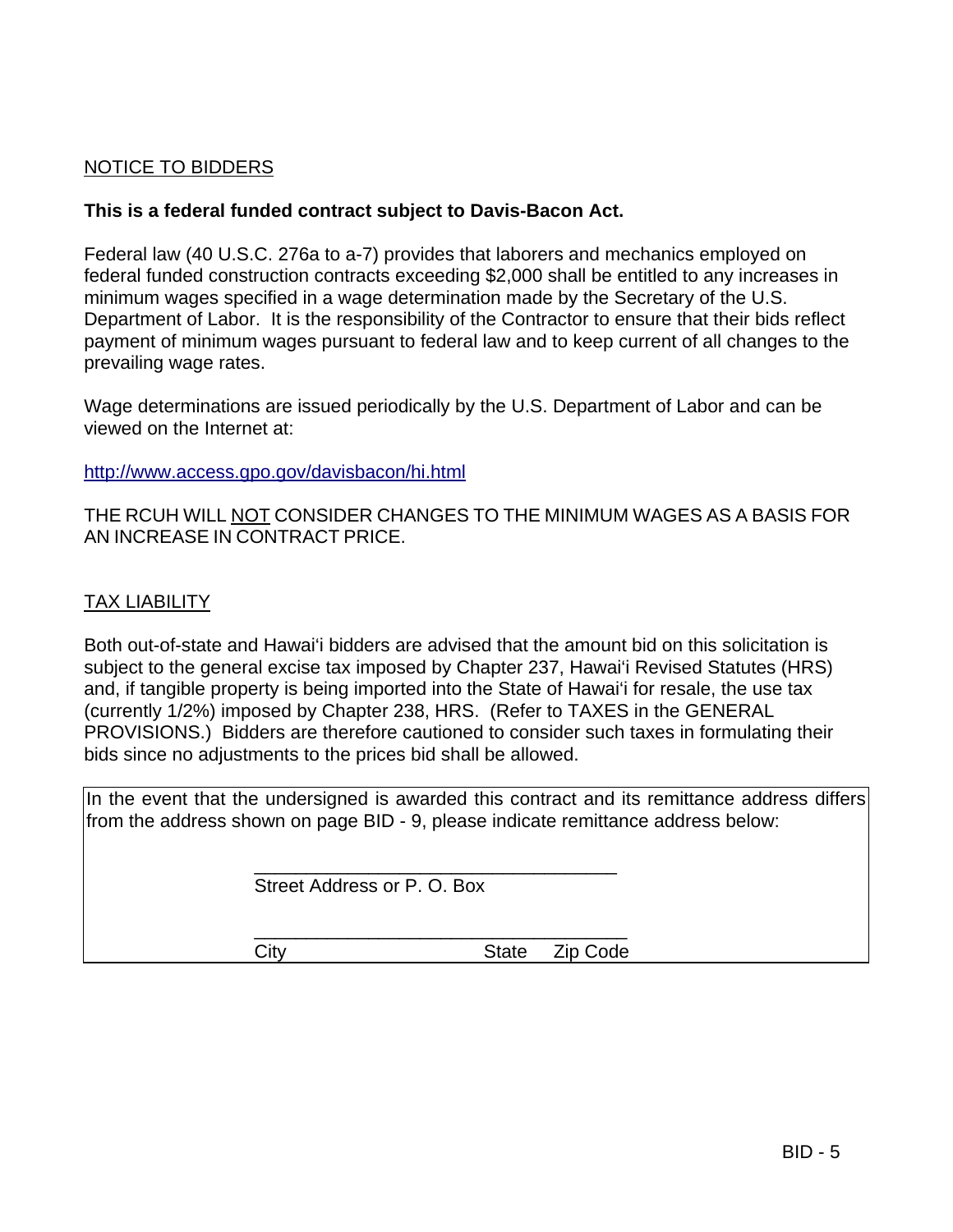### NOTICE TO BIDDERS

### **This is a federal funded contract subject to Davis-Bacon Act.**

Federal law (40 U.S.C. 276a to a-7) provides that laborers and mechanics employed on federal funded construction contracts exceeding \$2,000 shall be entitled to any increases in minimum wages specified in a wage determination made by the Secretary of the U.S. Department of Labor. It is the responsibility of the Contractor to ensure that their bids reflect payment of minimum wages pursuant to federal law and to keep current of all changes to the prevailing wage rates.

Wage determinations are issued periodically by the U.S. Department of Labor and can be viewed on the Internet at:

http://www.access.gpo.gov/davisbacon/hi.html

THE RCUH WILL NOT CONSIDER CHANGES TO THE MINIMUM WAGES AS A BASIS FOR AN INCREASE IN CONTRACT PRICE.

### TAX LIABILITY

Both out-of-state and Hawai'i bidders are advised that the amount bid on this solicitation is subject to the general excise tax imposed by Chapter 237, Hawai'i Revised Statutes (HRS) and, if tangible property is being imported into the State of Hawai'i for resale, the use tax (currently 1/2%) imposed by Chapter 238, HRS. (Refer to TAXES in the GENERAL PROVISIONS.) Bidders are therefore cautioned to consider such taxes in formulating their bids since no adjustments to the prices bid shall be allowed.

In the event that the undersigned is awarded this contract and its remittance address differs from the address shown on page BID - 9, please indicate remittance address below:

Street Address or P. O. Box

 $\frac{1}{\sqrt{2}}$  ,  $\frac{1}{\sqrt{2}}$  ,  $\frac{1}{\sqrt{2}}$  ,  $\frac{1}{\sqrt{2}}$  ,  $\frac{1}{\sqrt{2}}$  ,  $\frac{1}{\sqrt{2}}$  ,  $\frac{1}{\sqrt{2}}$  ,  $\frac{1}{\sqrt{2}}$  ,  $\frac{1}{\sqrt{2}}$  ,  $\frac{1}{\sqrt{2}}$  ,  $\frac{1}{\sqrt{2}}$  ,  $\frac{1}{\sqrt{2}}$  ,  $\frac{1}{\sqrt{2}}$  ,  $\frac{1}{\sqrt{2}}$  ,  $\frac{1}{\sqrt{2}}$ 

 $\frac{1}{\sqrt{2}}$  ,  $\frac{1}{\sqrt{2}}$  ,  $\frac{1}{\sqrt{2}}$  ,  $\frac{1}{\sqrt{2}}$  ,  $\frac{1}{\sqrt{2}}$  ,  $\frac{1}{\sqrt{2}}$  ,  $\frac{1}{\sqrt{2}}$  ,  $\frac{1}{\sqrt{2}}$  ,  $\frac{1}{\sqrt{2}}$  ,  $\frac{1}{\sqrt{2}}$  ,  $\frac{1}{\sqrt{2}}$  ,  $\frac{1}{\sqrt{2}}$  ,  $\frac{1}{\sqrt{2}}$  ,  $\frac{1}{\sqrt{2}}$  ,  $\frac{1}{\sqrt{2}}$ 

City **State Zip Code**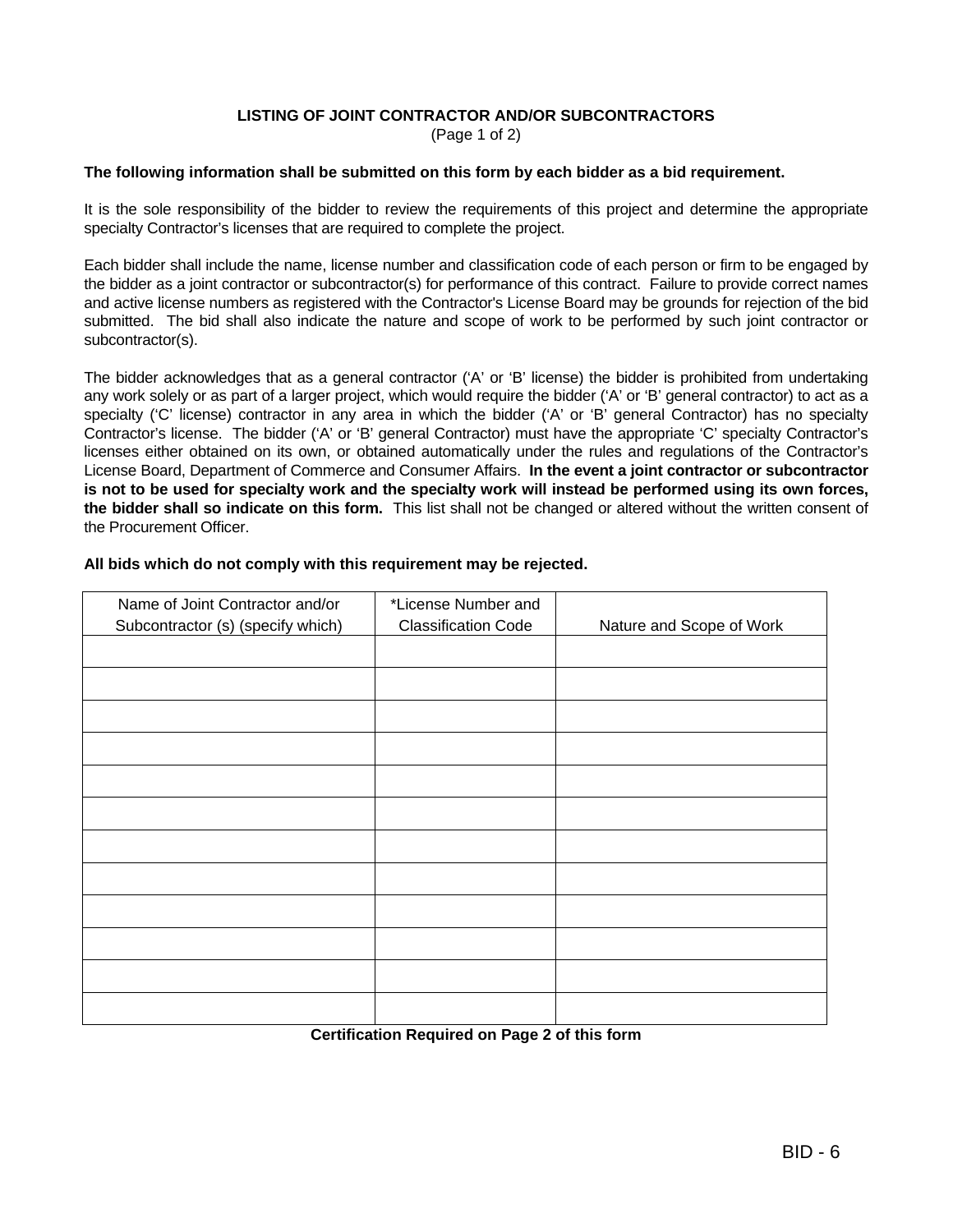#### **LISTING OF JOINT CONTRACTOR AND/OR SUBCONTRACTORS** (Page 1 of 2)

#### **The following information shall be submitted on this form by each bidder as a bid requirement.**

It is the sole responsibility of the bidder to review the requirements of this project and determine the appropriate specialty Contractor's licenses that are required to complete the project.

Each bidder shall include the name, license number and classification code of each person or firm to be engaged by the bidder as a joint contractor or subcontractor(s) for performance of this contract. Failure to provide correct names and active license numbers as registered with the Contractor's License Board may be grounds for rejection of the bid submitted. The bid shall also indicate the nature and scope of work to be performed by such joint contractor or subcontractor(s).

The bidder acknowledges that as a general contractor ('A' or 'B' license) the bidder is prohibited from undertaking any work solely or as part of a larger project, which would require the bidder ('A' or 'B' general contractor) to act as a specialty ('C' license) contractor in any area in which the bidder ('A' or 'B' general Contractor) has no specialty Contractor's license. The bidder ('A' or 'B' general Contractor) must have the appropriate 'C' specialty Contractor's licenses either obtained on its own, or obtained automatically under the rules and regulations of the Contractor's License Board, Department of Commerce and Consumer Affairs. **In the event a joint contractor or subcontractor is not to be used for specialty work and the specialty work will instead be performed using its own forces, the bidder shall so indicate on this form.** This list shall not be changed or altered without the written consent of the Procurement Officer.

| Name of Joint Contractor and/or   | *License Number and                           |                          |
|-----------------------------------|-----------------------------------------------|--------------------------|
| Subcontractor (s) (specify which) | <b>Classification Code</b>                    | Nature and Scope of Work |
|                                   |                                               |                          |
|                                   |                                               |                          |
|                                   |                                               |                          |
|                                   |                                               |                          |
|                                   |                                               |                          |
|                                   |                                               |                          |
|                                   |                                               |                          |
|                                   |                                               |                          |
|                                   |                                               |                          |
|                                   |                                               |                          |
|                                   |                                               |                          |
|                                   |                                               |                          |
|                                   |                                               |                          |
|                                   | Cortification Boquirod on Bago 2 of this form |                          |

#### **All bids which do not comply with this requirement may be rejected.**

**Certification Required on Page 2 of this form**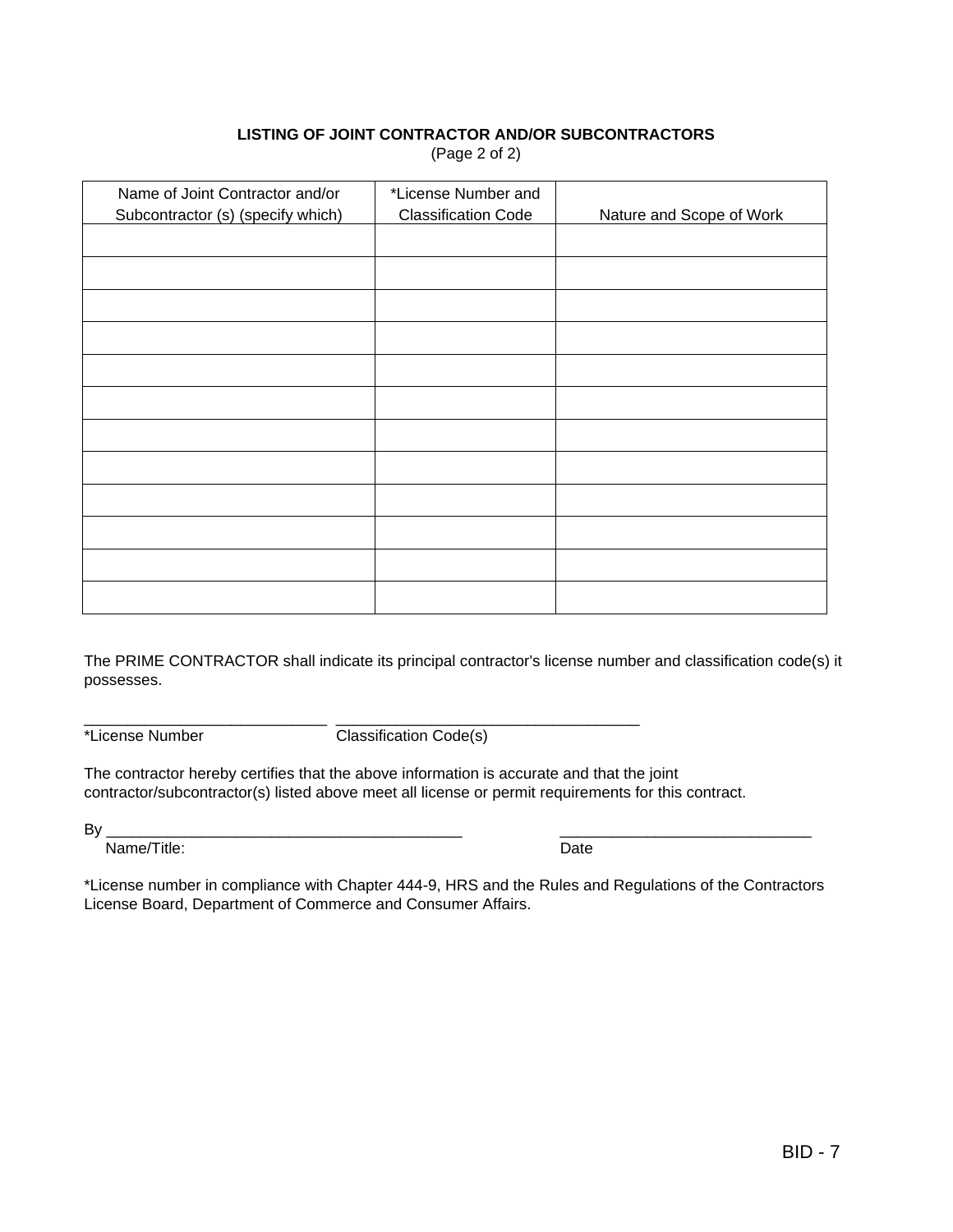### **LISTING OF JOINT CONTRACTOR AND/OR SUBCONTRACTORS** (Page 2 of 2)

| Name of Joint Contractor and/or<br>Subcontractor (s) (specify which) | *License Number and<br><b>Classification Code</b> | Nature and Scope of Work |
|----------------------------------------------------------------------|---------------------------------------------------|--------------------------|
|                                                                      |                                                   |                          |
|                                                                      |                                                   |                          |
|                                                                      |                                                   |                          |
|                                                                      |                                                   |                          |
|                                                                      |                                                   |                          |
|                                                                      |                                                   |                          |
|                                                                      |                                                   |                          |
|                                                                      |                                                   |                          |
|                                                                      |                                                   |                          |
|                                                                      |                                                   |                          |
|                                                                      |                                                   |                          |
|                                                                      |                                                   |                          |

The PRIME CONTRACTOR shall indicate its principal contractor's license number and classification code(s) it possesses.

\*License Number Classification Code(s)

\_\_\_\_\_\_\_\_\_\_\_\_\_\_\_\_\_\_\_\_\_\_\_\_\_\_\_\_ \_\_\_\_\_\_\_\_\_\_\_\_\_\_\_\_\_\_\_\_\_\_\_\_\_\_\_\_\_\_\_\_\_\_\_

The contractor hereby certifies that the above information is accurate and that the joint contractor/subcontractor(s) listed above meet all license or permit requirements for this contract.

By \_\_\_\_\_\_\_\_\_\_\_\_\_\_\_\_\_\_\_\_\_\_\_\_\_\_\_\_\_\_\_\_\_\_\_\_\_\_\_\_\_ \_\_\_\_\_\_\_\_\_\_\_\_\_\_\_\_\_\_\_\_\_\_\_\_\_\_\_\_\_

Name/Title: Date

\*License number in compliance with Chapter 444-9, HRS and the Rules and Regulations of the Contractors License Board, Department of Commerce and Consumer Affairs.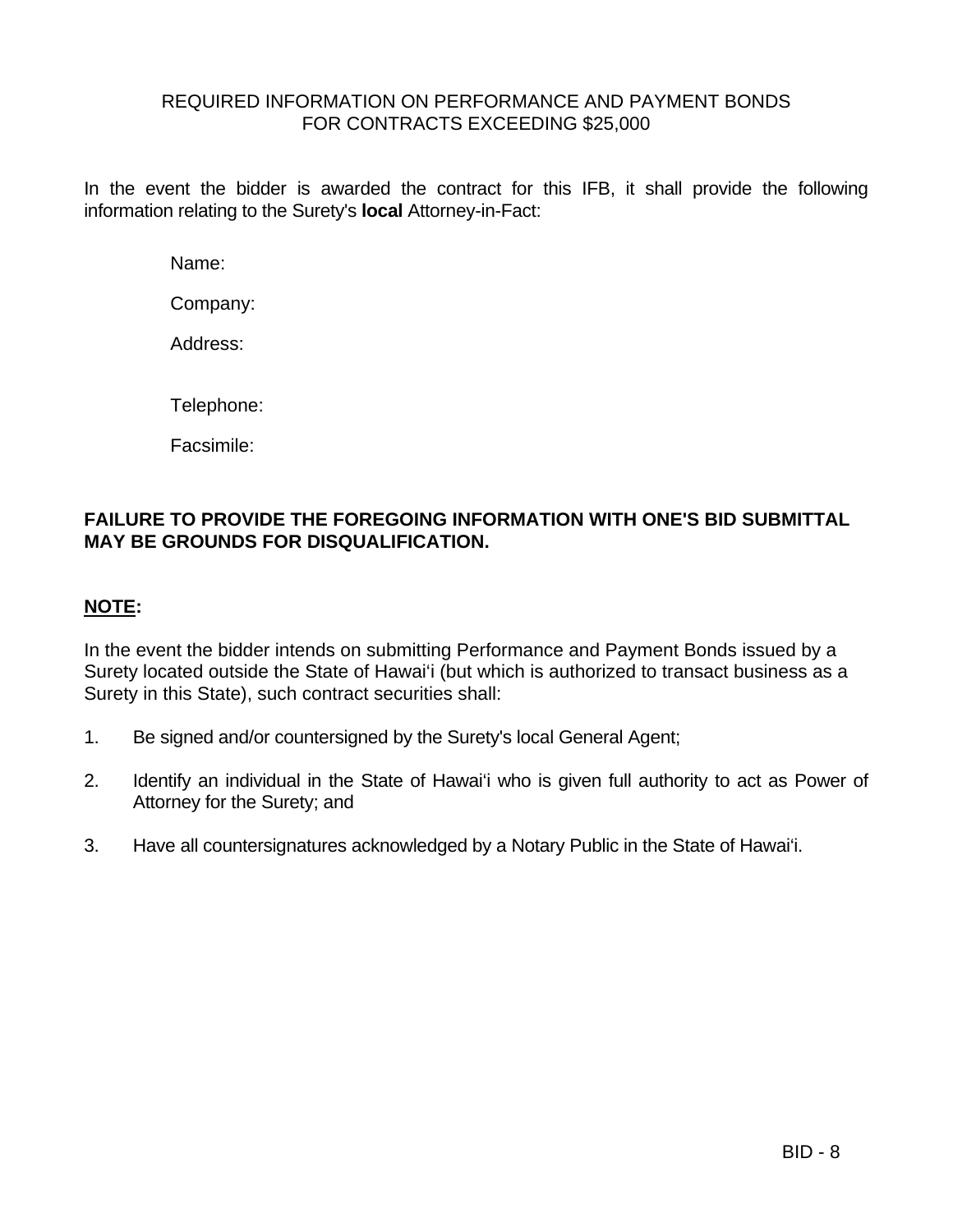### REQUIRED INFORMATION ON PERFORMANCE AND PAYMENT BONDS FOR CONTRACTS EXCEEDING \$25,000

In the event the bidder is awarded the contract for this IFB, it shall provide the following information relating to the Surety's **local** Attorney-in-Fact:

Name:

Company:

Address:

Telephone:

Facsimile:

## **FAILURE TO PROVIDE THE FOREGOING INFORMATION WITH ONE'S BID SUBMITTAL MAY BE GROUNDS FOR DISQUALIFICATION.**

## **NOTE:**

In the event the bidder intends on submitting Performance and Payment Bonds issued by a Surety located outside the State of Hawai'i (but which is authorized to transact business as a Surety in this State), such contract securities shall:

- 1. Be signed and/or countersigned by the Surety's local General Agent;
- 2. Identify an individual in the State of Hawai'i who is given full authority to act as Power of Attorney for the Surety; and
- 3. Have all countersignatures acknowledged by a Notary Public in the State of Hawai'i.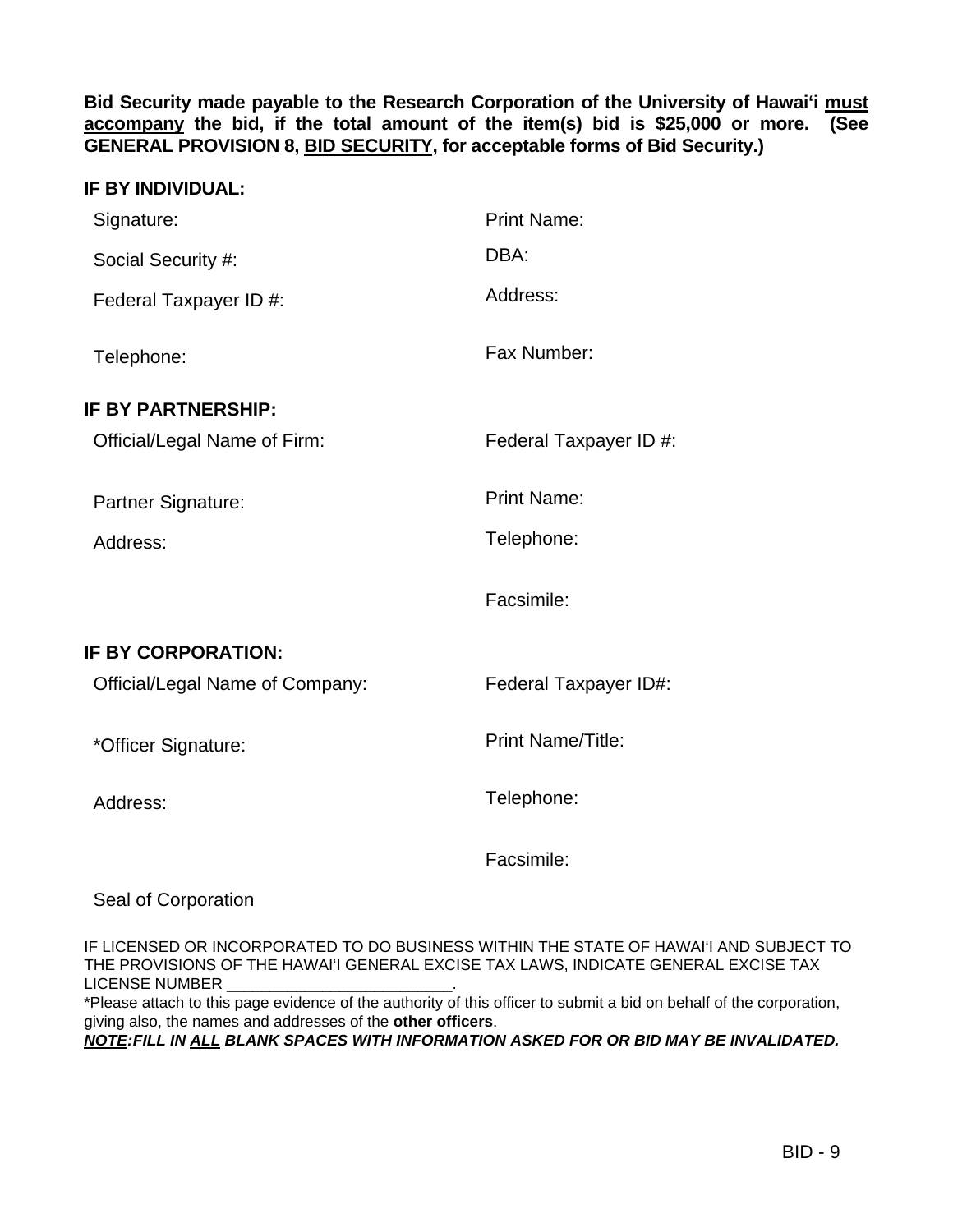**Bid Security made payable to the Research Corporation of the University of Hawai'i must accompany the bid, if the total amount of the item(s) bid is \$25,000 or more. (See GENERAL PROVISION 8, BID SECURITY, for acceptable forms of Bid Security.)**

| <b>IF BY INDIVIDUAL:</b>        |                          |
|---------------------------------|--------------------------|
| Signature:                      | <b>Print Name:</b>       |
| Social Security #:              | DBA:                     |
| Federal Taxpayer ID #:          | Address:                 |
| Telephone:                      | Fax Number:              |
| <b>IF BY PARTNERSHIP:</b>       |                          |
| Official/Legal Name of Firm:    | Federal Taxpayer ID #:   |
| Partner Signature:              | <b>Print Name:</b>       |
| Address:                        | Telephone:               |
|                                 | Facsimile:               |
| IF BY CORPORATION:              |                          |
| Official/Legal Name of Company: | Federal Taxpayer ID#:    |
| *Officer Signature:             | <b>Print Name/Title:</b> |
| Address:                        | Telephone:               |
|                                 | Facsimile:               |

Seal of Corporation

IF LICENSED OR INCORPORATED TO DO BUSINESS WITHIN THE STATE OF HAWAI'I AND SUBJECT TO THE PROVISIONS OF THE HAWAI'I GENERAL EXCISE TAX LAWS, INDICATE GENERAL EXCISE TAX LICENSE NUMBER

\*Please attach to this page evidence of the authority of this officer to submit a bid on behalf of the corporation, giving also, the names and addresses of the **other officers**.

*NOTE: FILL IN ALL BLANK SPACES WITH INFORMATION ASKED FOR OR BID MAY BE INVALIDATED.*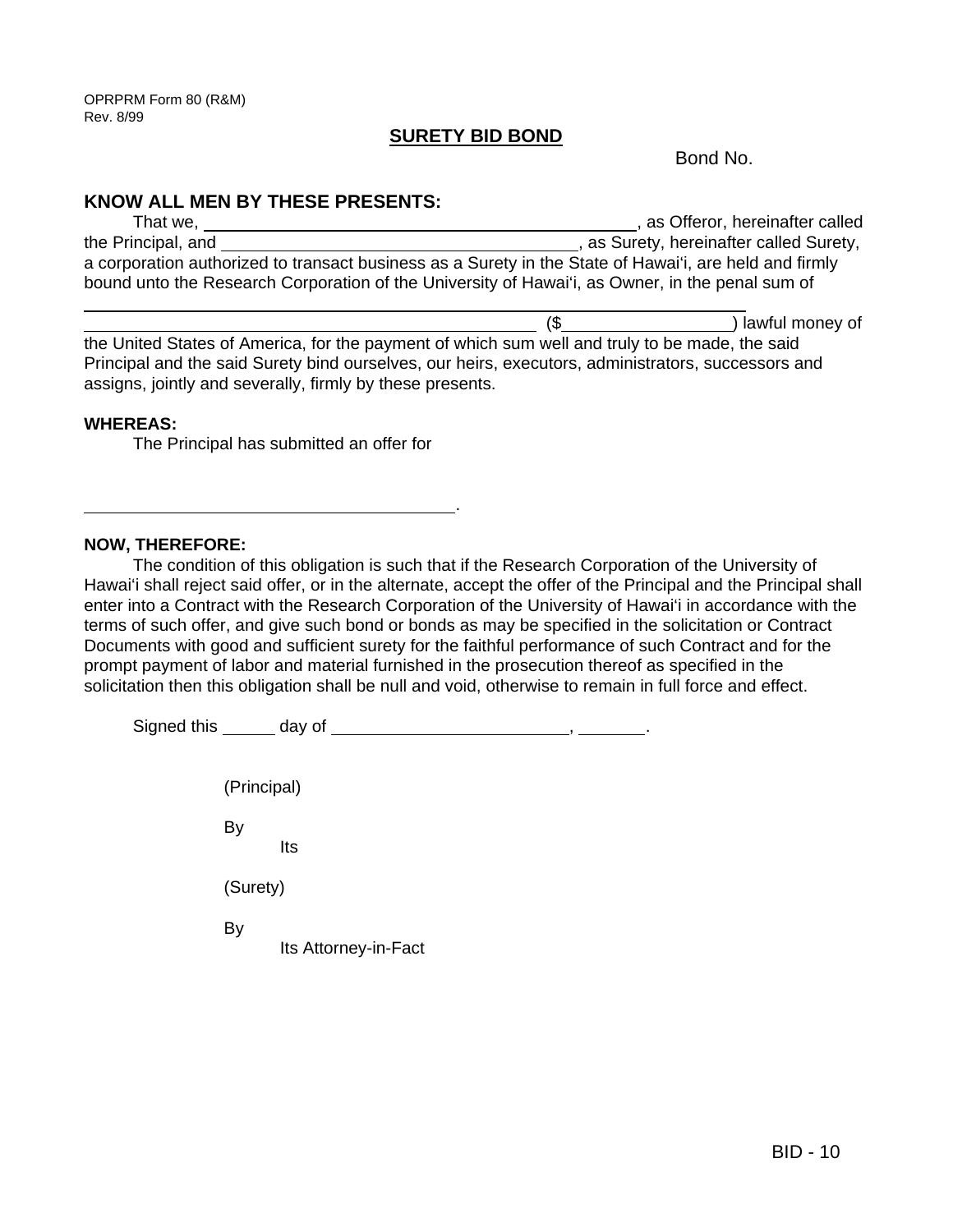### **SURETY BID BOND**

Bond No.

### **KNOW ALL MEN BY THESE PRESENTS:**

| That we,                                                                                               | , as Offeror, hereinafter called        |
|--------------------------------------------------------------------------------------------------------|-----------------------------------------|
| the Principal, and                                                                                     | , as Surety, hereinafter called Surety, |
| a corporation authorized to transact business as a Surety in the State of Hawai'i, are held and firmly |                                         |
| bound unto the Research Corporation of the University of Hawai'i, as Owner, in the penal sum of        |                                         |
|                                                                                                        |                                         |

 (\$ ) lawful money of the United States of America, for the payment of which sum well and truly to be made, the said Principal and the said Surety bind ourselves, our heirs, executors, administrators, successors and assigns, jointly and severally, firmly by these presents.

### **WHEREAS:**

The Principal has submitted an offer for

<u>. Andre Sterne and Sterne and Sterne and Sterne and Sterne and Sterne and Sterne and Sterne and Sterne and St</u>

### **NOW, THEREFORE:**

 The condition of this obligation is such that if the Research Corporation of the University of Hawai'i shall reject said offer, or in the alternate, accept the offer of the Principal and the Principal shall enter into a Contract with the Research Corporation of the University of Hawai'i in accordance with the terms of such offer, and give such bond or bonds as may be specified in the solicitation or Contract Documents with good and sufficient surety for the faithful performance of such Contract and for the prompt payment of labor and material furnished in the prosecution thereof as specified in the solicitation then this obligation shall be null and void, otherwise to remain in full force and effect.

 Signed this day of , . (Principal) By **Its Community Community**  (Surety) By Its Attorney-in-Fact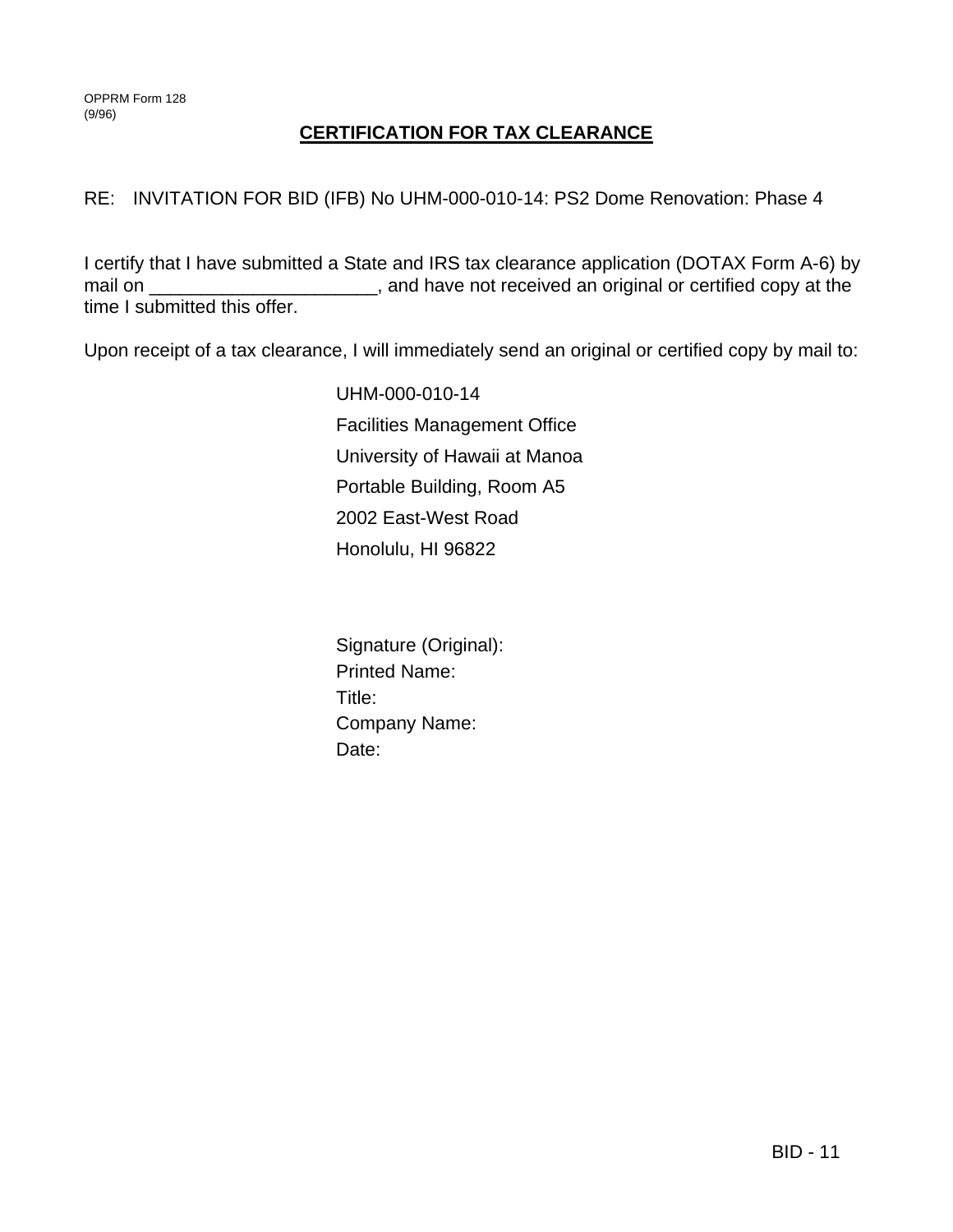## **CERTIFICATION FOR TAX CLEARANCE**

### RE: INVITATION FOR BID (IFB) No UHM-000-010-14: PS2 Dome Renovation: Phase 4

I certify that I have submitted a State and IRS tax clearance application (DOTAX Form A-6) by mail on \_\_\_\_\_\_\_\_\_\_\_\_\_\_\_\_\_\_\_\_\_\_\_, and have not received an original or certified copy at the time I submitted this offer.

Upon receipt of a tax clearance, I will immediately send an original or certified copy by mail to:

UHM-000-010-14 Facilities Management Office University of Hawaii at Manoa Portable Building, Room A5 2002 East-West Road Honolulu, HI 96822

 Signature (Original): Printed Name: Title: Company Name: Date: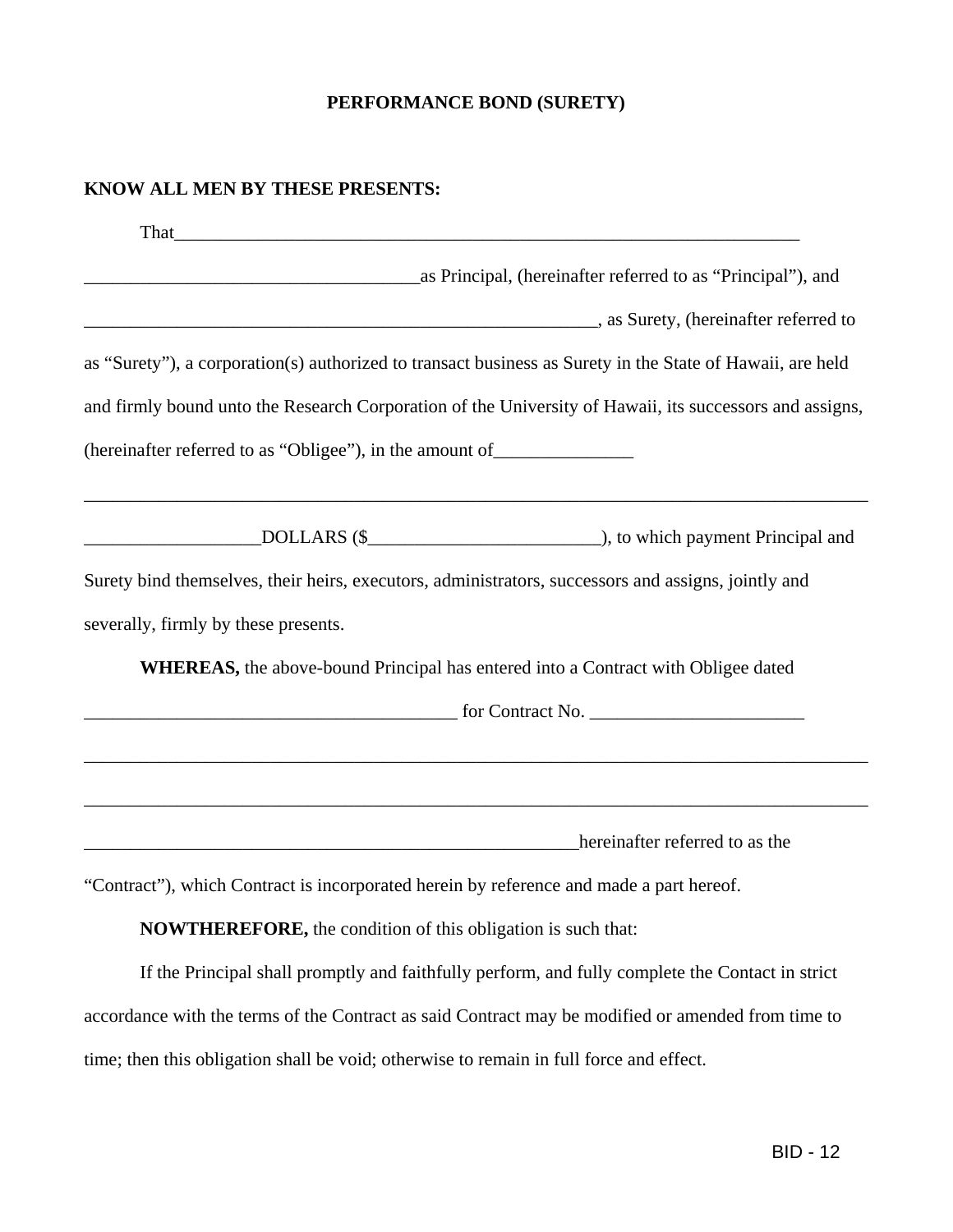## **PERFORMANCE BOND (SURETY)**

### **KNOW ALL MEN BY THESE PRESENTS:**

| as Principal, (hereinafter referred to as "Principal"), and                                                                                                                                                                    |
|--------------------------------------------------------------------------------------------------------------------------------------------------------------------------------------------------------------------------------|
| as Surety, (hereinafter referred to and the surface of the surface set of the surface set of the surface set of the surface set of the surface set of the surface set of the surface set of the surface set of the surface set |
| as "Surety"), a corporation(s) authorized to transact business as Surety in the State of Hawaii, are held                                                                                                                      |
| and firmly bound unto the Research Corporation of the University of Hawaii, its successors and assigns,                                                                                                                        |
| (hereinafter referred to as "Obligee"), in the amount of ________________________                                                                                                                                              |
|                                                                                                                                                                                                                                |
| Surety bind themselves, their heirs, executors, administrators, successors and assigns, jointly and                                                                                                                            |
| severally, firmly by these presents.                                                                                                                                                                                           |
| WHEREAS, the above-bound Principal has entered into a Contract with Obligee dated                                                                                                                                              |
| $\sim$ for Contract No. $\sim$                                                                                                                                                                                                 |
| ,我们也不能在这里,我们也不能在这里,我们也不能不能不能不能不能不能不能不能不能不能不能不能。""我们,我们也不能不能不能不能不能不能不能不能不能不能不能不能不                                                                                                                                               |
|                                                                                                                                                                                                                                |
| hereinafter referred to as the                                                                                                                                                                                                 |
| "Contract"), which Contract is incorporated began by reference and made a part begat                                                                                                                                           |

"Contract"), which Contract is incorporated herein by reference and made a part hereof.

**NOWTHEREFORE,** the condition of this obligation is such that:

 If the Principal shall promptly and faithfully perform, and fully complete the Contact in strict accordance with the terms of the Contract as said Contract may be modified or amended from time to time; then this obligation shall be void; otherwise to remain in full force and effect.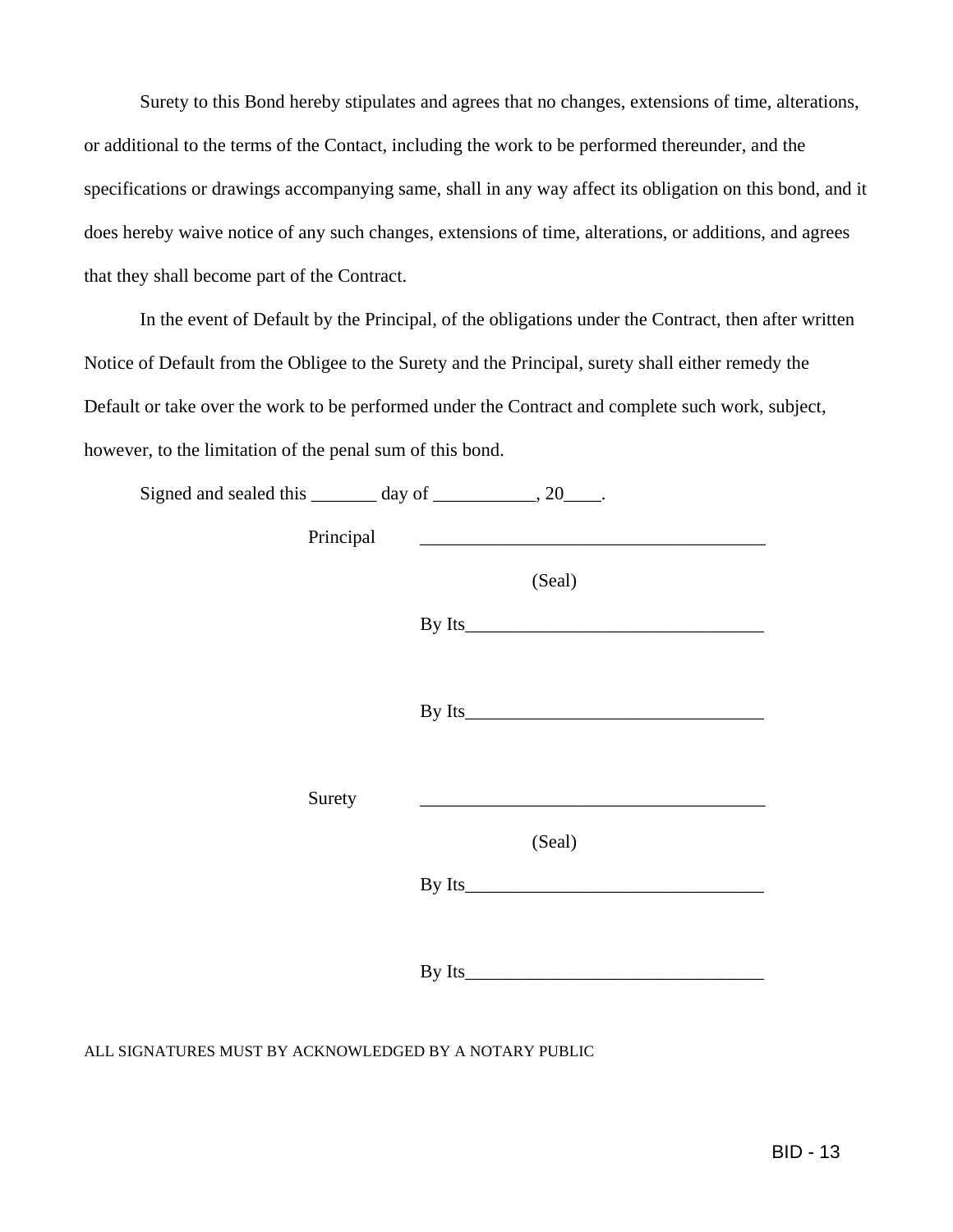Surety to this Bond hereby stipulates and agrees that no changes, extensions of time, alterations, or additional to the terms of the Contact, including the work to be performed thereunder, and the specifications or drawings accompanying same, shall in any way affect its obligation on this bond, and it does hereby waive notice of any such changes, extensions of time, alterations, or additions, and agrees that they shall become part of the Contract.

 In the event of Default by the Principal, of the obligations under the Contract, then after written Notice of Default from the Obligee to the Surety and the Principal, surety shall either remedy the Default or take over the work to be performed under the Contract and complete such work, subject, however, to the limitation of the penal sum of this bond.

| Signed and sealed this ________ day of ____________, 20_____. |        |
|---------------------------------------------------------------|--------|
| Principal                                                     |        |
|                                                               | (Seal) |
|                                                               |        |
|                                                               |        |
|                                                               |        |
|                                                               |        |
| Surety                                                        |        |
|                                                               | (Seal) |
|                                                               |        |
|                                                               |        |
|                                                               |        |

ALL SIGNATURES MUST BY ACKNOWLEDGED BY A NOTARY PUBLIC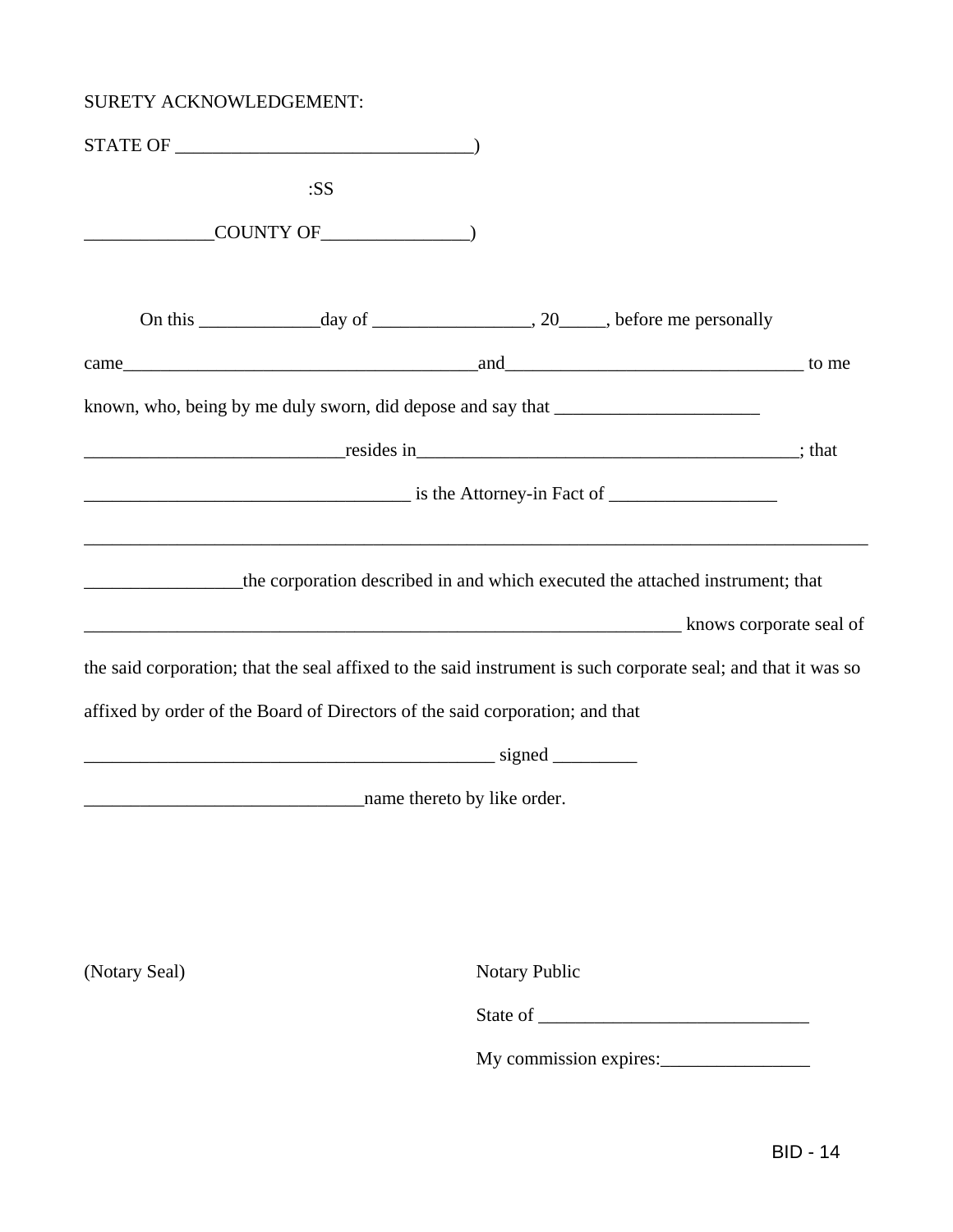## SURETY ACKNOWLEDGEMENT:

|               | :SS                                                                          |                                                                                                                   |  |
|---------------|------------------------------------------------------------------------------|-------------------------------------------------------------------------------------------------------------------|--|
|               | COUNTY OF THE COUNTY OF                                                      |                                                                                                                   |  |
|               |                                                                              |                                                                                                                   |  |
|               |                                                                              |                                                                                                                   |  |
|               |                                                                              | known, who, being by me duly sworn, did depose and say that _____________________                                 |  |
|               |                                                                              |                                                                                                                   |  |
|               |                                                                              | $\frac{1}{2}$ is the Attorney-in Fact of $\frac{1}{2}$ and $\frac{1}{2}$ is the Attorney-in Fact of $\frac{1}{2}$ |  |
|               |                                                                              | the corporation described in and which executed the attached instrument; that                                     |  |
|               |                                                                              | the said corporation; that the seal affixed to the said instrument is such corporate seal; and that it was so     |  |
|               | affixed by order of the Board of Directors of the said corporation; and that |                                                                                                                   |  |
|               |                                                                              |                                                                                                                   |  |
|               | name thereto by like order.                                                  |                                                                                                                   |  |
|               |                                                                              |                                                                                                                   |  |
| (Notary Seal) |                                                                              | <b>Notary Public</b>                                                                                              |  |
|               |                                                                              |                                                                                                                   |  |
|               |                                                                              | My commission expires:                                                                                            |  |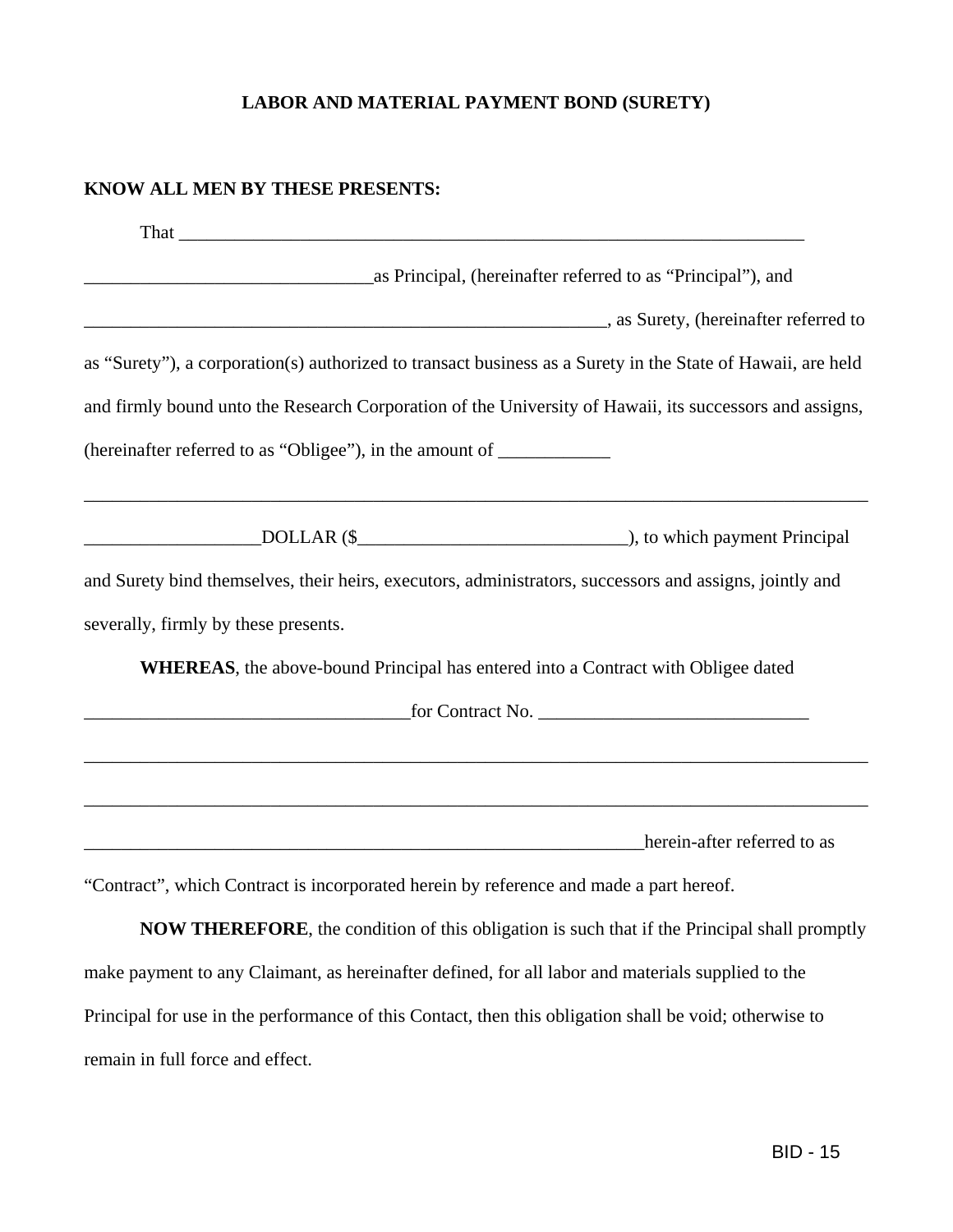### **LABOR AND MATERIAL PAYMENT BOND (SURETY)**

### **KNOW ALL MEN BY THESE PRESENTS:**

| as Principal, (hereinafter referred to as "Principal"), and                                                                                                                                                                    |
|--------------------------------------------------------------------------------------------------------------------------------------------------------------------------------------------------------------------------------|
| as Surety, (hereinafter referred to and the surety of the same set of the same set of the same set of the same set of the same set of the same set of the same set of the same set of the same set of the same set of the same |
| as "Surety"), a corporation(s) authorized to transact business as a Surety in the State of Hawaii, are held                                                                                                                    |
| and firmly bound unto the Research Corporation of the University of Hawaii, its successors and assigns,                                                                                                                        |
| (hereinafter referred to as "Obligee"), in the amount of ________________________                                                                                                                                              |
| ,我们也不能在这里的时候,我们也不能在这里的时候,我们也不能会在这里的时候,我们也不能会在这里的时候,我们也不能会在这里的时候,我们也不能会在这里的时候,我们也不                                                                                                                                              |
| and Surety bind themselves, their heirs, executors, administrators, successors and assigns, jointly and                                                                                                                        |
| severally, firmly by these presents.                                                                                                                                                                                           |
| <b>WHEREAS</b> , the above-bound Principal has entered into a Contract with Obligee dated                                                                                                                                      |
|                                                                                                                                                                                                                                |
|                                                                                                                                                                                                                                |
|                                                                                                                                                                                                                                |
| herein-after referred to as                                                                                                                                                                                                    |

"Contract", which Contract is incorporated herein by reference and made a part hereof.

**NOW THEREFORE**, the condition of this obligation is such that if the Principal shall promptly make payment to any Claimant, as hereinafter defined, for all labor and materials supplied to the Principal for use in the performance of this Contact, then this obligation shall be void; otherwise to remain in full force and effect.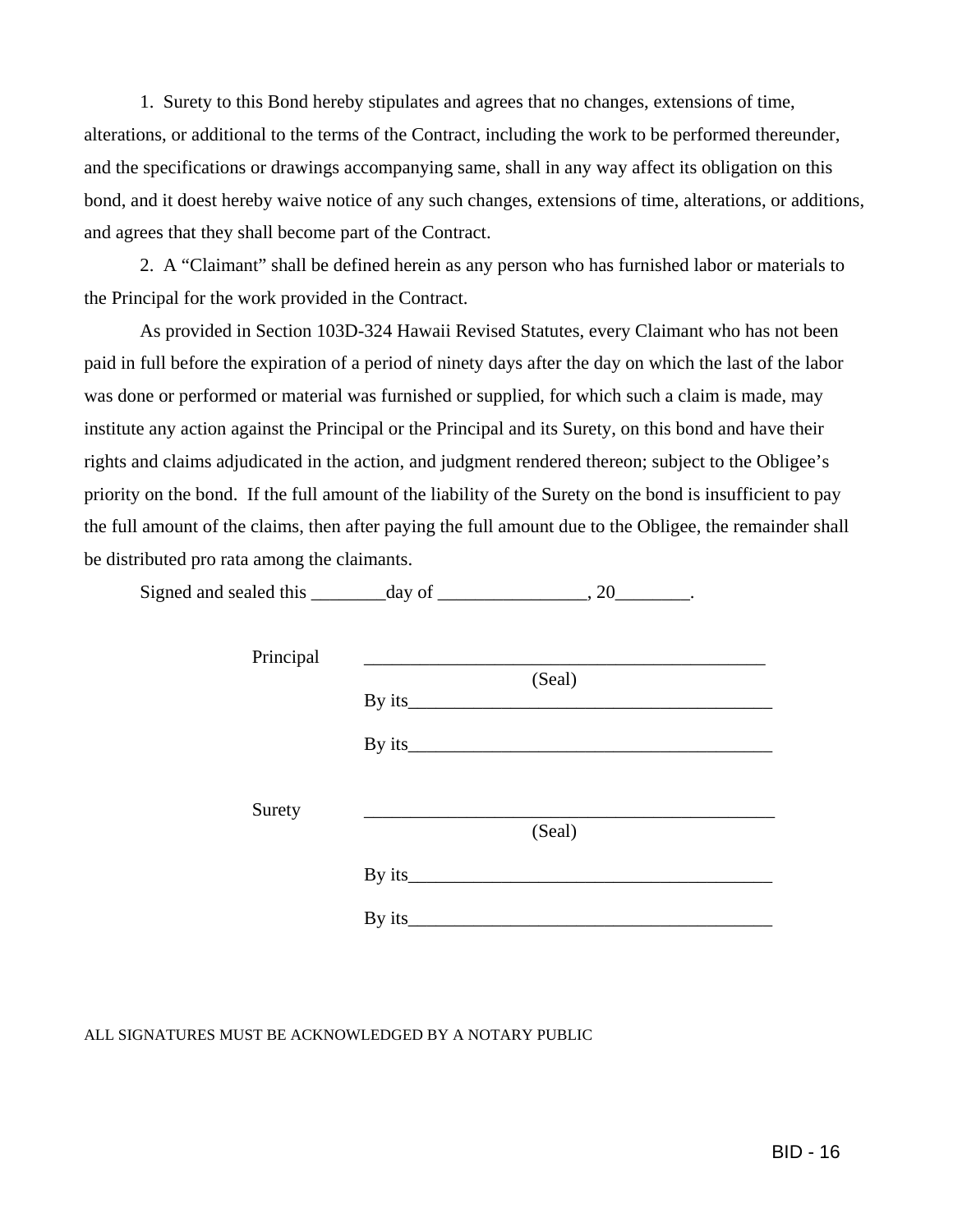1. Surety to this Bond hereby stipulates and agrees that no changes, extensions of time, alterations, or additional to the terms of the Contract, including the work to be performed thereunder, and the specifications or drawings accompanying same, shall in any way affect its obligation on this bond, and it doest hereby waive notice of any such changes, extensions of time, alterations, or additions, and agrees that they shall become part of the Contract.

 2. A "Claimant" shall be defined herein as any person who has furnished labor or materials to the Principal for the work provided in the Contract.

 As provided in Section 103D-324 Hawaii Revised Statutes, every Claimant who has not been paid in full before the expiration of a period of ninety days after the day on which the last of the labor was done or performed or material was furnished or supplied, for which such a claim is made, may institute any action against the Principal or the Principal and its Surety, on this bond and have their rights and claims adjudicated in the action, and judgment rendered thereon; subject to the Obligee's priority on the bond. If the full amount of the liability of the Surety on the bond is insufficient to pay the full amount of the claims, then after paying the full amount due to the Obligee, the remainder shall be distributed pro rata among the claimants.

Signed and sealed this \_\_\_\_\_\_\_\_day of \_\_\_\_\_\_\_\_\_\_\_\_\_, 20\_\_\_\_\_\_\_\_.

| Principal |                   |
|-----------|-------------------|
|           | (Seal)<br>By its_ |
|           |                   |
| Surety    |                   |
|           | (Seal)            |
|           |                   |
|           | By its_           |

ALL SIGNATURES MUST BE ACKNOWLEDGED BY A NOTARY PUBLIC